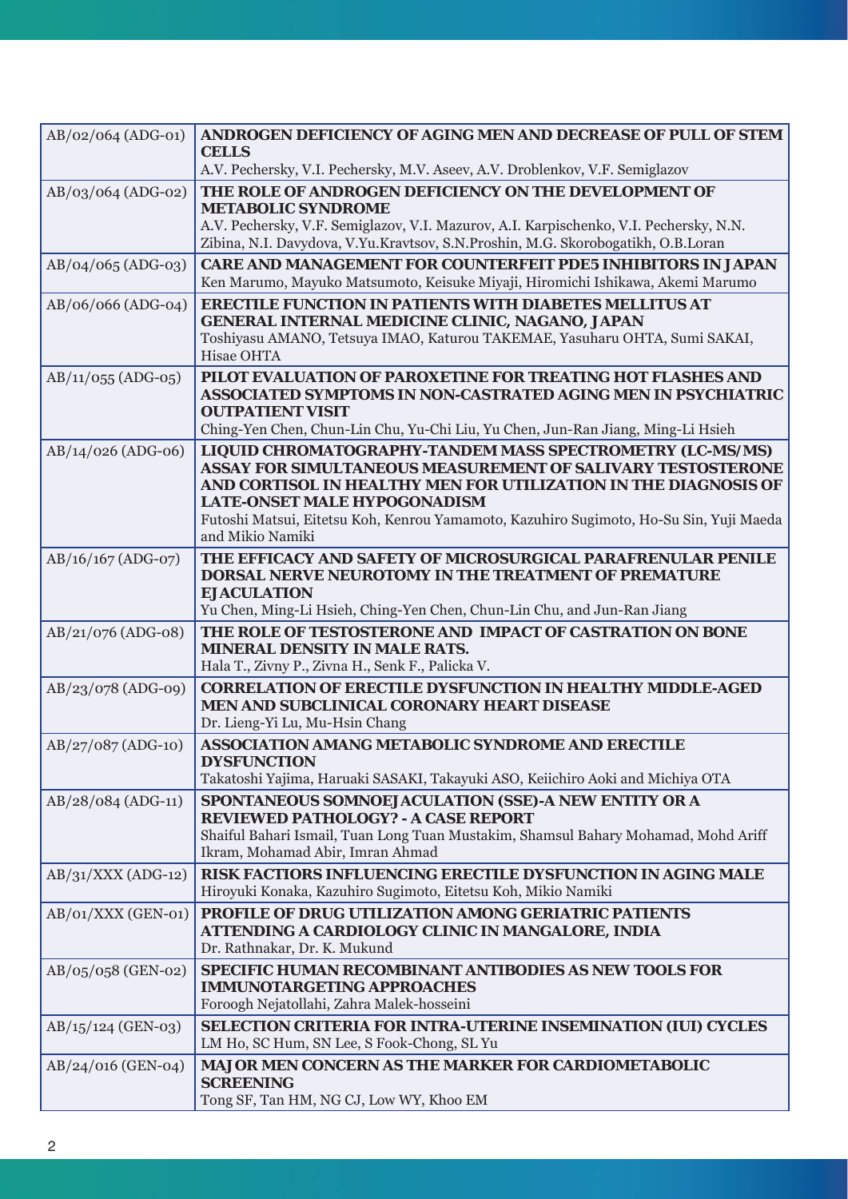| $AB/02/064$ (ADG-01) | ANDROGEN DEFICIENCY OF AGING MEN AND DECREASE OF PULL OF STEM<br><b>CELLS</b><br>A.V. Pechersky, V.I. Pechersky, M.V. Aseev, A.V. Droblenkov, V.F. Semiglazov                                                                                                                                                                                           |  |  |  |  |  |  |
|----------------------|---------------------------------------------------------------------------------------------------------------------------------------------------------------------------------------------------------------------------------------------------------------------------------------------------------------------------------------------------------|--|--|--|--|--|--|
| $AB/03/064$ (ADG-02) | THE ROLE OF ANDROGEN DEFICIENCY ON THE DEVELOPMENT OF<br><b>METABOLIC SYNDROME</b><br>A.V. Pechersky, V.F. Semiglazov, V.I. Mazurov, A.I. Karpischenko, V.I. Pechersky, N.N.<br>Zibina, N.I. Davydova, V.Yu.Kravtsov, S.N.Proshin, M.G. Skorobogatikh, O.B.Loran                                                                                        |  |  |  |  |  |  |
| $AB/O4/O65 (ADG-03)$ | <b>CARE AND MANAGEMENT FOR COUNTERFEIT PDE5 INHIBITORS IN JAPAN</b><br>Ken Marumo, Mayuko Matsumoto, Keisuke Miyaji, Hiromichi Ishikawa, Akemi Marumo                                                                                                                                                                                                   |  |  |  |  |  |  |
| AB/06/066 (ADG-04)   | <b>ERECTILE FUNCTION IN PATIENTS WITH DIABETES MELLITUS AT</b><br>GENERAL INTERNAL MEDICINE CLINIC, NAGANO, JAPAN<br>Toshiyasu AMANO, Tetsuya IMAO, Katurou TAKEMAE, Yasuharu OHTA, Sumi SAKAI,<br>Hisae OHTA                                                                                                                                           |  |  |  |  |  |  |
| $AB/11/055$ (ADG-05) | PILOT EVALUATION OF PAROXETINE FOR TREATING HOT FLASHES AND<br>ASSOCIATED SYMPTOMS IN NON-CASTRATED AGING MEN IN PSYCHIATRIC<br><b>OUTPATIENT VISIT</b><br>Ching-Yen Chen, Chun-Lin Chu, Yu-Chi Liu, Yu Chen, Jun-Ran Jiang, Ming-Li Hsieh                                                                                                              |  |  |  |  |  |  |
| AB/14/026 (ADG-06)   | LIQUID CHROMATOGRAPHY-TANDEM MASS SPECTROMETRY (LC-MS/MS)<br><b>ASSAY FOR SIMULTANEOUS MEASUREMENT OF SALIVARY TESTOSTERONE</b><br>AND CORTISOL IN HEALTHY MEN FOR UTILIZATION IN THE DIAGNOSIS OF<br><b>LATE-ONSET MALE HYPOGONADISM</b><br>Futoshi Matsui, Eitetsu Koh, Kenrou Yamamoto, Kazuhiro Sugimoto, Ho-Su Sin, Yuji Maeda<br>and Mikio Namiki |  |  |  |  |  |  |
| $AB/16/167$ (ADG-07) | THE EFFICACY AND SAFETY OF MICROSURGICAL PARAFRENULAR PENILE<br><b>DORSAL NERVE NEUROTOMY IN THE TREATMENT OF PREMATURE</b><br><b>EJACULATION</b><br>Yu Chen, Ming-Li Hsieh, Ching-Yen Chen, Chun-Lin Chu, and Jun-Ran Jiang                                                                                                                            |  |  |  |  |  |  |
| AB/21/076 (ADG-08)   | THE ROLE OF TESTOSTERONE AND IMPACT OF CASTRATION ON BONE<br><b>MINERAL DENSITY IN MALE RATS.</b><br>Hala T., Zivny P., Zivna H., Senk F., Palicka V.                                                                                                                                                                                                   |  |  |  |  |  |  |
| AB/23/078 (ADG-09)   | <b>CORRELATION OF ERECTILE DYSFUNCTION IN HEALTHY MIDDLE-AGED</b><br>MEN AND SUBCLINICAL CORONARY HEART DISEASE<br>Dr. Lieng-Yi Lu, Mu-Hsin Chang                                                                                                                                                                                                       |  |  |  |  |  |  |
| $AB/27/087$ (ADG-10) | <b>ASSOCIATION AMANG METABOLIC SYNDROME AND ERECTILE</b><br><b>DYSFUNCTION</b><br>Takatoshi Yajima, Haruaki SASAKI, Takayuki ASO, Keiichiro Aoki and Michiya OTA                                                                                                                                                                                        |  |  |  |  |  |  |
| AB/28/084 (ADG-11)   | SPONTANEOUS SOMNOEJACULATION (SSE)-A NEW ENTITY OR A<br><b>REVIEWED PATHOLOGY? - A CASE REPORT</b><br>Shaiful Bahari Ismail, Tuan Long Tuan Mustakim, Shamsul Bahary Mohamad, Mohd Ariff<br>Ikram, Mohamad Abir, Imran Ahmad                                                                                                                            |  |  |  |  |  |  |
| $AB/31/XXX (ADG-12)$ | RISK FACTIORS INFLUENCING ERECTILE DYSFUNCTION IN AGING MALE<br>Hiroyuki Konaka, Kazuhiro Sugimoto, Eitetsu Koh, Mikio Namiki                                                                                                                                                                                                                           |  |  |  |  |  |  |
| $AB/O1/XXX$ (GEN-01) | PROFILE OF DRUG UTILIZATION AMONG GERIATRIC PATIENTS<br>ATTENDING A CARDIOLOGY CLINIC IN MANGALORE, INDIA<br>Dr. Rathnakar, Dr. K. Mukund                                                                                                                                                                                                               |  |  |  |  |  |  |
| AB/05/058 (GEN-02)   | <b>SPECIFIC HUMAN RECOMBINANT ANTIBODIES AS NEW TOOLS FOR</b><br><b>IMMUNOTARGETING APPROACHES</b><br>Foroogh Nejatollahi, Zahra Malek-hosseini                                                                                                                                                                                                         |  |  |  |  |  |  |
| AB/15/124 (GEN-03)   | SELECTION CRITERIA FOR INTRA-UTERINE INSEMINATION (IUI) CYCLES<br>LM Ho, SC Hum, SN Lee, S Fook-Chong, SL Yu                                                                                                                                                                                                                                            |  |  |  |  |  |  |
| AB/24/016 (GEN-04)   | <b>MAJOR MEN CONCERN AS THE MARKER FOR CARDIOMETABOLIC</b><br><b>SCREENING</b><br>Tong SF, Tan HM, NG CJ, Low WY, Khoo EM                                                                                                                                                                                                                               |  |  |  |  |  |  |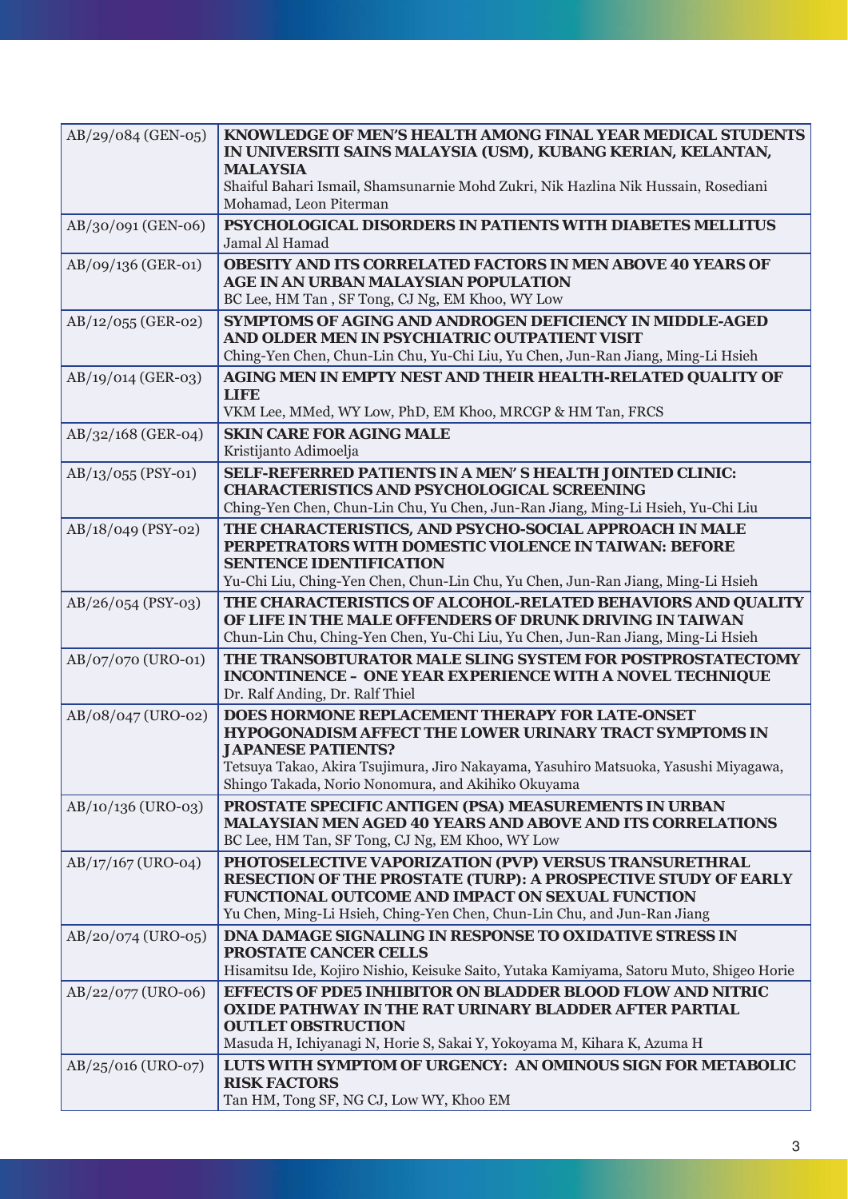| AB/29/084 (GEN-05)   | KNOWLEDGE OF MEN'S HEALTH AMONG FINAL YEAR MEDICAL STUDENTS<br>IN UNIVERSITI SAINS MALAYSIA (USM), KUBANG KERIAN, KELANTAN,<br><b>MALAYSIA</b><br>Shaiful Bahari Ismail, Shamsunarnie Mohd Zukri, Nik Hazlina Nik Hussain, Rosediani<br>Mohamad, Leon Piterman                                     |  |  |  |  |  |
|----------------------|----------------------------------------------------------------------------------------------------------------------------------------------------------------------------------------------------------------------------------------------------------------------------------------------------|--|--|--|--|--|
| AB/30/091 (GEN-06)   | PSYCHOLOGICAL DISORDERS IN PATIENTS WITH DIABETES MELLITUS<br>Jamal Al Hamad                                                                                                                                                                                                                       |  |  |  |  |  |
| AB/09/136 (GER-01)   | <b>OBESITY AND ITS CORRELATED FACTORS IN MEN ABOVE 40 YEARS OF</b><br><b>AGE IN AN URBAN MALAYSIAN POPULATION</b><br>BC Lee, HM Tan, SF Tong, CJ Ng, EM Khoo, WY Low                                                                                                                               |  |  |  |  |  |
| AB/12/055 (GER-02)   | <b>SYMPTOMS OF AGING AND ANDROGEN DEFICIENCY IN MIDDLE-AGED</b><br>AND OLDER MEN IN PSYCHIATRIC OUTPATIENT VISIT<br>Ching-Yen Chen, Chun-Lin Chu, Yu-Chi Liu, Yu Chen, Jun-Ran Jiang, Ming-Li Hsieh                                                                                                |  |  |  |  |  |
| AB/19/014 (GER-03)   | AGING MEN IN EMPTY NEST AND THEIR HEALTH-RELATED QUALITY OF<br>LIFE<br>VKM Lee, MMed, WY Low, PhD, EM Khoo, MRCGP & HM Tan, FRCS                                                                                                                                                                   |  |  |  |  |  |
| AB/32/168 (GER-04)   | <b>SKIN CARE FOR AGING MALE</b><br>Kristijanto Adimoelja                                                                                                                                                                                                                                           |  |  |  |  |  |
| $AB/13/055$ (PSY-01) | SELF-REFERRED PATIENTS IN A MEN'S HEALTH JOINTED CLINIC:<br><b>CHARACTERISTICS AND PSYCHOLOGICAL SCREENING</b><br>Ching-Yen Chen, Chun-Lin Chu, Yu Chen, Jun-Ran Jiang, Ming-Li Hsieh, Yu-Chi Liu                                                                                                  |  |  |  |  |  |
| AB/18/049 (PSY-02)   | THE CHARACTERISTICS, AND PSYCHO-SOCIAL APPROACH IN MALE<br>PERPETRATORS WITH DOMESTIC VIOLENCE IN TAIWAN: BEFORE<br><b>SENTENCE IDENTIFICATION</b><br>Yu-Chi Liu, Ching-Yen Chen, Chun-Lin Chu, Yu Chen, Jun-Ran Jiang, Ming-Li Hsieh                                                              |  |  |  |  |  |
| $AB/26/054$ (PSY-03) | THE CHARACTERISTICS OF ALCOHOL-RELATED BEHAVIORS AND QUALITY<br>OF LIFE IN THE MALE OFFENDERS OF DRUNK DRIVING IN TAIWAN<br>Chun-Lin Chu, Ching-Yen Chen, Yu-Chi Liu, Yu Chen, Jun-Ran Jiang, Ming-Li Hsieh                                                                                        |  |  |  |  |  |
| AB/07/070 (URO-01)   | THE TRANSOBTURATOR MALE SLING SYSTEM FOR POSTPROSTATECTOMY<br><b>INCONTINENCE - ONE YEAR EXPERIENCE WITH A NOVEL TECHNIQUE</b><br>Dr. Ralf Anding, Dr. Ralf Thiel                                                                                                                                  |  |  |  |  |  |
| AB/08/047 (URO-02)   | <b>DOES HORMONE REPLACEMENT THERAPY FOR LATE-ONSET</b><br><b>HYPOGONADISM AFFECT THE LOWER URINARY TRACT SYMPTOMS IN</b><br><b>JAPANESE PATIENTS?</b><br>Tetsuya Takao, Akira Tsujimura, Jiro Nakayama, Yasuhiro Matsuoka, Yasushi Miyagawa,<br>Shingo Takada, Norio Nonomura, and Akihiko Okuyama |  |  |  |  |  |
| AB/10/136 (URO-03)   | PROSTATE SPECIFIC ANTIGEN (PSA) MEASUREMENTS IN URBAN<br><b>MALAYSIAN MEN AGED 40 YEARS AND ABOVE AND ITS CORRELATIONS</b><br>BC Lee, HM Tan, SF Tong, CJ Ng, EM Khoo, WY Low                                                                                                                      |  |  |  |  |  |
| AB/17/167 (URO-04)   | PHOTOSELECTIVE VAPORIZATION (PVP) VERSUS TRANSURETHRAL<br><b>RESECTION OF THE PROSTATE (TURP): A PROSPECTIVE STUDY OF EARLY</b><br>FUNCTIONAL OUTCOME AND IMPACT ON SEXUAL FUNCTION<br>Yu Chen, Ming-Li Hsieh, Ching-Yen Chen, Chun-Lin Chu, and Jun-Ran Jiang                                     |  |  |  |  |  |
| $AB/20/074$ (URO-05) | <b>DNA DAMAGE SIGNALING IN RESPONSE TO OXIDATIVE STRESS IN</b><br><b>PROSTATE CANCER CELLS</b><br>Hisamitsu Ide, Kojiro Nishio, Keisuke Saito, Yutaka Kamiyama, Satoru Muto, Shigeo Horie                                                                                                          |  |  |  |  |  |
| AB/22/077 (URO-06)   | <b>EFFECTS OF PDE5 INHIBITOR ON BLADDER BLOOD FLOW AND NITRIC</b><br><b>OXIDE PATHWAY IN THE RAT URINARY BLADDER AFTER PARTIAL</b><br><b>OUTLET OBSTRUCTION</b><br>Masuda H, Ichiyanagi N, Horie S, Sakai Y, Yokoyama M, Kihara K, Azuma H                                                         |  |  |  |  |  |
| AB/25/016 (URO-07)   | LUTS WITH SYMPTOM OF URGENCY: AN OMINOUS SIGN FOR METABOLIC<br><b>RISK FACTORS</b><br>Tan HM, Tong SF, NG CJ, Low WY, Khoo EM                                                                                                                                                                      |  |  |  |  |  |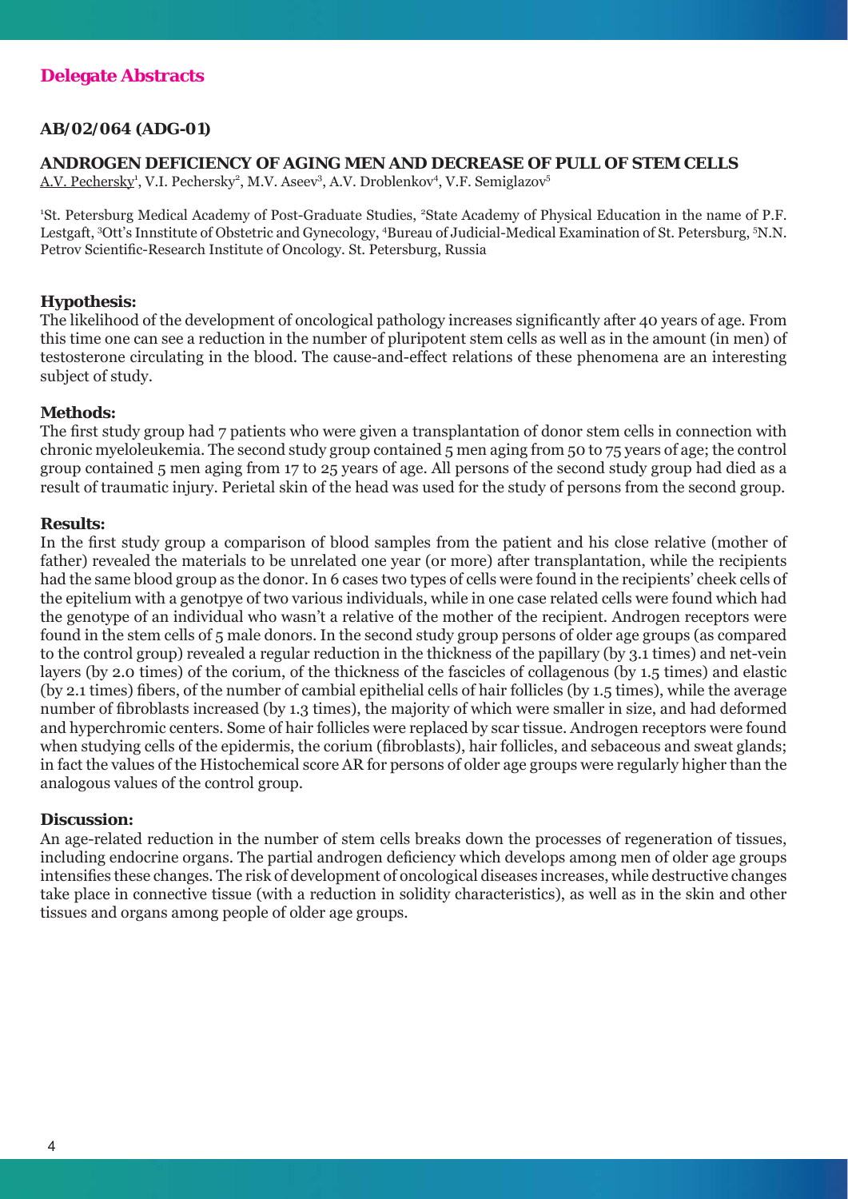# **AB/02/064 (ADG-01)**

## **ANDROGEN DEFICIENCY OF AGING MEN AND DECREASE OF PULL OF STEM CELLS**

A.V. Pechersky<sup>1</sup>, V.I. Pechersky<sup>2</sup>, M.V. Aseev<sup>3</sup>, A.V. Droblenkov<sup>4</sup>, V.F. Semiglazov<sup>5</sup>

<sup>1</sup>St. Petersburg Medical Academy of Post-Graduate Studies, <sup>2</sup>State Academy of Physical Education in the name of P.F. Lestgaft, <sup>3</sup>Ott's Innstitute of Obstetric and Gynecology, <sup>4</sup>Bureau of Judicial-Medical Examination of St. Petersburg, <sup>5</sup>N.N. Petrov Scientific-Research Institute of Oncology. St. Petersburg, Russia

# **Hypothesis:**

The likelihood of the development of oncological pathology increases significantly after 40 years of age. From this time one can see a reduction in the number of pluripotent stem cells as well as in the amount (in men) of testosterone circulating in the blood. The cause-and-effect relations of these phenomena are an interesting subject of study.

# **Methods:**

The first study group had 7 patients who were given a transplantation of donor stem cells in connection with chronic myeloleukemia. The second study group contained 5 men aging from 50 to 75 years of age; the control group contained 5 men aging from 17 to 25 years of age. All persons of the second study group had died as a result of traumatic injury. Perietal skin of the head was used for the study of persons from the second group.

# **Results:**

In the first study group a comparison of blood samples from the patient and his close relative (mother of father) revealed the materials to be unrelated one year (or more) after transplantation, while the recipients had the same blood group as the donor. In 6 cases two types of cells were found in the recipients' cheek cells of the epitelium with a genotpye of two various individuals, while in one case related cells were found which had the genotype of an individual who wasn't a relative of the mother of the recipient. Androgen receptors were found in the stem cells of 5 male donors. In the second study group persons of older age groups (as compared to the control group) revealed a regular reduction in the thickness of the papillary (by 3.1 times) and net-vein layers (by 2.0 times) of the corium, of the thickness of the fascicles of collagenous (by 1.5 times) and elastic (by 2.1 times) fibers, of the number of cambial epithelial cells of hair follicles (by 1.5 times), while the average number of fibroblasts increased (by 1.3 times), the majority of which were smaller in size, and had deformed and hyperchromic centers. Some of hair follicles were replaced by scar tissue. Androgen receptors were found when studying cells of the epidermis, the corium (fibroblasts), hair follicles, and sebaceous and sweat glands; in fact the values of the Histochemical score AR for persons of older age groups were regularly higher than the analogous values of the control group.

# **Discussion:**

An age-related reduction in the number of stem cells breaks down the processes of regeneration of tissues, including endocrine organs. The partial androgen deficiency which develops among men of older age groups intensifies these changes. The risk of development of oncological diseases increases, while destructive changes take place in connective tissue (with a reduction in solidity characteristics), as well as in the skin and other tissues and organs among people of older age groups.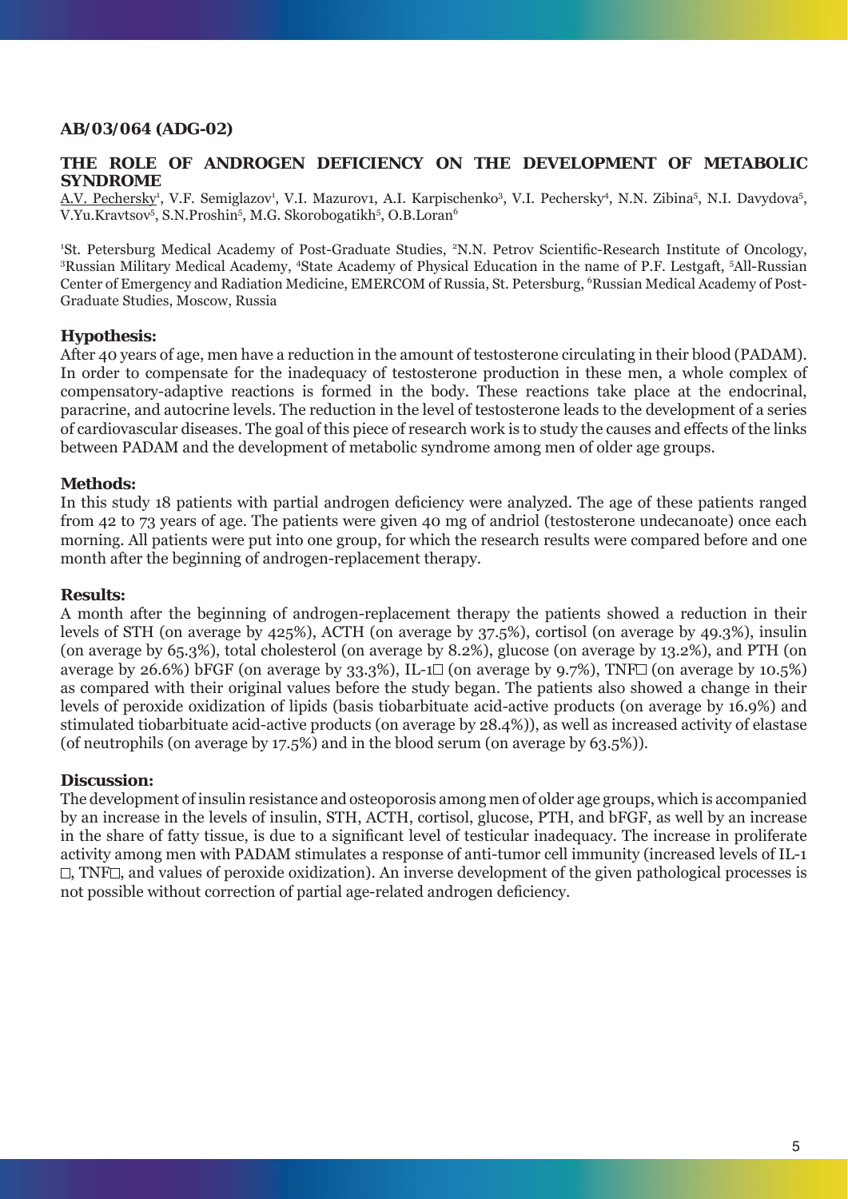# **AB/03/064 (ADG-02)**

# **THE ROLE OF ANDROGEN DEFICIENCY ON THE DEVELOPMENT OF METABOLIC SYNDROME**

A.V. Pechersky<sup>1</sup>, V.F. Semiglazov<sup>1</sup>, V.I. Mazurov1, A.I. Karpischenko<sup>3</sup>, V.I. Pechersky<sup>4</sup>, N.N. Zibina<sup>5</sup>, N.I. Davydova<sup>5</sup>, V.Yu.Kravtsov<sup>5</sup>, S.N.Proshin<sup>5</sup>, M.G. Skorobogatikh<sup>5</sup>, O.B.Loran<sup>6</sup>

<sup>1</sup>St. Petersburg Medical Academy of Post-Graduate Studies, <sup>2</sup>N.N. Petrov Scientific-Research Institute of Oncology,<br><sup>3</sup>Pussian Military Medical Academy, <sup>4</sup>State Academy of Physical Education in the name of P.E. Lestart, Russian Military Medical Academy, <sup>4</sup>State Academy of Physical Education in the name of P.F. Lestgaft, <sup>5</sup>All-Russian Center of Emergency and Radiation Medicine, EMERCOM of Russia, St. Petersburg, <sup>6</sup>Russian Medical Academy of Post-Graduate Studies, Moscow, Russia

# **Hypothesis:**

After 40 years of age, men have a reduction in the amount of testosterone circulating in their blood (PADAM). In order to compensate for the inadequacy of testosterone production in these men, a whole complex of compensatory-adaptive reactions is formed in the body. These reactions take place at the endocrinal, paracrine, and autocrine levels. The reduction in the level of testosterone leads to the development of a series of cardiovascular diseases. The goal of this piece of research work is to study the causes and effects of the links between PADAM and the development of metabolic syndrome among men of older age groups.

# **Methods:**

In this study 18 patients with partial androgen deficiency were analyzed. The age of these patients ranged from 42 to 73 years of age. The patients were given 40 mg of andriol (testosterone undecanoate) once each morning. All patients were put into one group, for which the research results were compared before and one month after the beginning of androgen-replacement therapy.

#### **Results:**

A month after the beginning of androgen-replacement therapy the patients showed a reduction in their levels of STH (on average by 425%), ACTH (on average by 37.5%), cortisol (on average by 49.3%), insulin (on average by 65.3%), total cholesterol (on average by 8.2%), glucose (on average by 13.2%), and PTH (on average by 26.6%) bFGF (on average by 33.3%), IL-1 $\square$  (on average by 9.7%), TNF $\square$  (on average by 10.5%) as compared with their original values before the study began. The patients also showed a change in their levels of peroxide oxidization of lipids (basis tiobarbituate acid-active products (on average by 16.9%) and stimulated tiobarbituate acid-active products (on average by 28.4%)), as well as increased activity of elastase (of neutrophils (on average by 17.5%) and in the blood serum (on average by 63.5%)).

#### **Discussion:**

The development of insulin resistance and osteoporosis among men of older age groups, which is accompanied by an increase in the levels of insulin, STH, ACTH, cortisol, glucose, PTH, and bFGF, as well by an increase in the share of fatty tissue, is due to a significant level of testicular inadequacy. The increase in proliferate activity among men with PADAM stimulates a response of anti-tumor cell immunity (increased levels of IL-1  $\Box$ , TNF $\Box$ , and values of peroxide oxidization). An inverse development of the given pathological processes is not possible without correction of partial age-related androgen deficiency.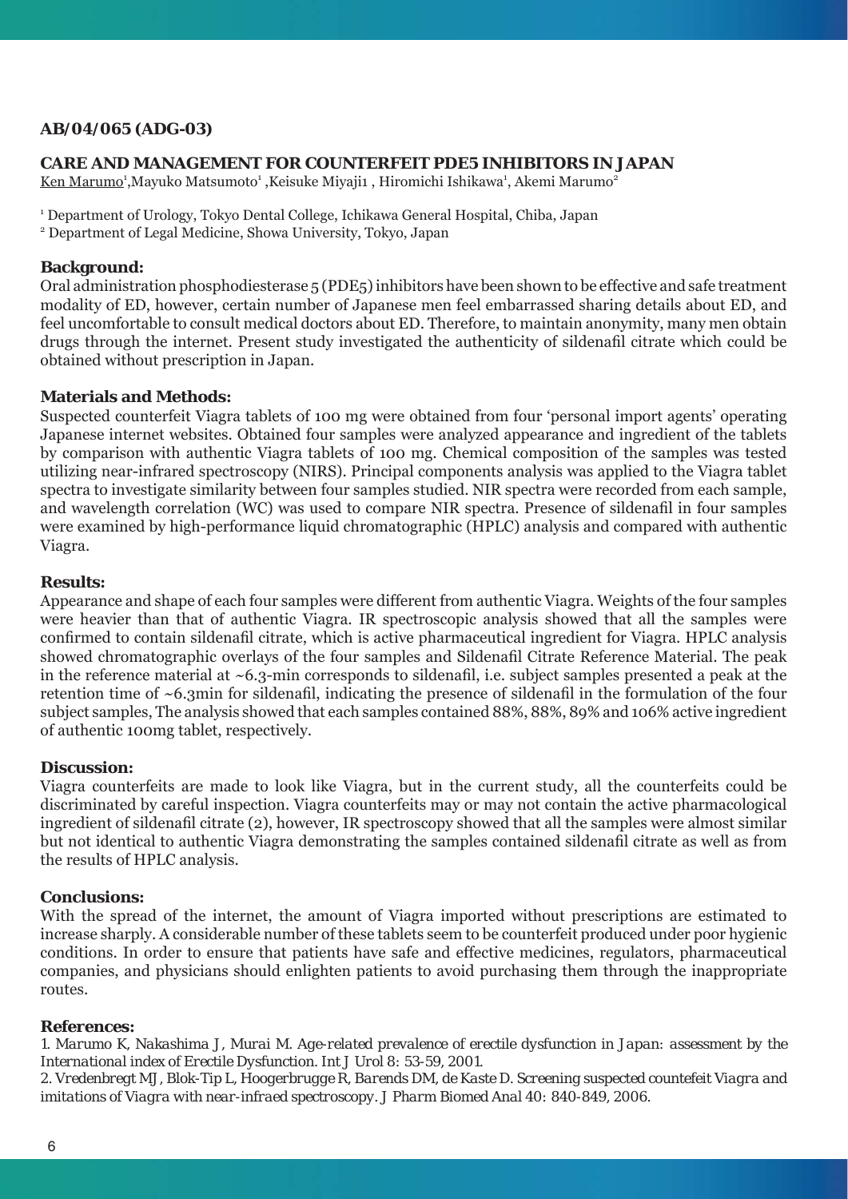# **AB/04/065 (ADG-03)**

# **CARE AND MANAGEMENT FOR COUNTERFEIT PDE5 INHIBITORS IN JAPAN**

Ken Marumo<sup>1</sup>,Mayuko Matsumoto<sup>1</sup> ,Keisuke Miyaji1 , Hiromichi Ishikawa<sup>1</sup>, Akemi Marumo<sup>2</sup>

1 Department of Urology, Tokyo Dental College, Ichikawa General Hospital, Chiba, Japan

2 Department of Legal Medicine, Showa University, Tokyo, Japan

## **Background:**

Oral administration phosphodiesterase 5 (PDE5) inhibitors have been shown to be effective and safe treatment modality of ED, however, certain number of Japanese men feel embarrassed sharing details about ED, and feel uncomfortable to consult medical doctors about ED. Therefore, to maintain anonymity, many men obtain drugs through the internet. Present study investigated the authenticity of sildenafil citrate which could be obtained without prescription in Japan.

# **Materials and Methods:**

Suspected counterfeit Viagra tablets of 100 mg were obtained from four 'personal import agents' operating Japanese internet websites. Obtained four samples were analyzed appearance and ingredient of the tablets by comparison with authentic Viagra tablets of 100 mg. Chemical composition of the samples was tested utilizing near-infrared spectroscopy (NIRS). Principal components analysis was applied to the Viagra tablet spectra to investigate similarity between four samples studied. NIR spectra were recorded from each sample, and wavelength correlation (WC) was used to compare NIR spectra. Presence of sildenafil in four samples were examined by high-performance liquid chromatographic (HPLC) analysis and compared with authentic Viagra.

# **Results:**

Appearance and shape of each four samples were different from authentic Viagra. Weights of the four samples were heavier than that of authentic Viagra. IR spectroscopic analysis showed that all the samples were confirmed to contain sildenafil citrate, which is active pharmaceutical ingredient for Viagra. HPLC analysis showed chromatographic overlays of the four samples and Sildenafil Citrate Reference Material. The peak in the reference material at  $\sim 6.3$ -min corresponds to sildenafil, i.e. subject samples presented a peak at the retention time of  $\sim$  6.3min for sildenafil, indicating the presence of sildenafil in the formulation of the four subject samples, The analysis showed that each samples contained 88%, 88%, 89% and 106% active ingredient of authentic 100mg tablet, respectively.

### **Discussion:**

Viagra counterfeits are made to look like Viagra, but in the current study, all the counterfeits could be discriminated by careful inspection. Viagra counterfeits may or may not contain the active pharmacological ingredient of sildenafil citrate (2), however, IR spectroscopy showed that all the samples were almost similar but not identical to authentic Viagra demonstrating the samples contained sildenafil citrate as well as from the results of HPLC analysis.

# **Conclusions:**

With the spread of the internet, the amount of Viagra imported without prescriptions are estimated to increase sharply. A considerable number of these tablets seem to be counterfeit produced under poor hygienic conditions. In order to ensure that patients have safe and effective medicines, regulators, pharmaceutical companies, and physicians should enlighten patients to avoid purchasing them through the inappropriate routes.

### *References:*

*1. Marumo K, Nakashima J, Murai M. Age-related prevalence of erectile dysfunction in Japan: assessment by the International index of Erectile Dysfunction. Int J Urol 8: 53-59, 2001. 2. Vredenbregt MJ, Blok-Tip L, Hoogerbrugge R, Barends DM, de Kaste D. Screening suspected countefeit Viagra and imitations of Viagra with near-infraed spectroscopy. J Pharm Biomed Anal 40: 840-849, 2006.*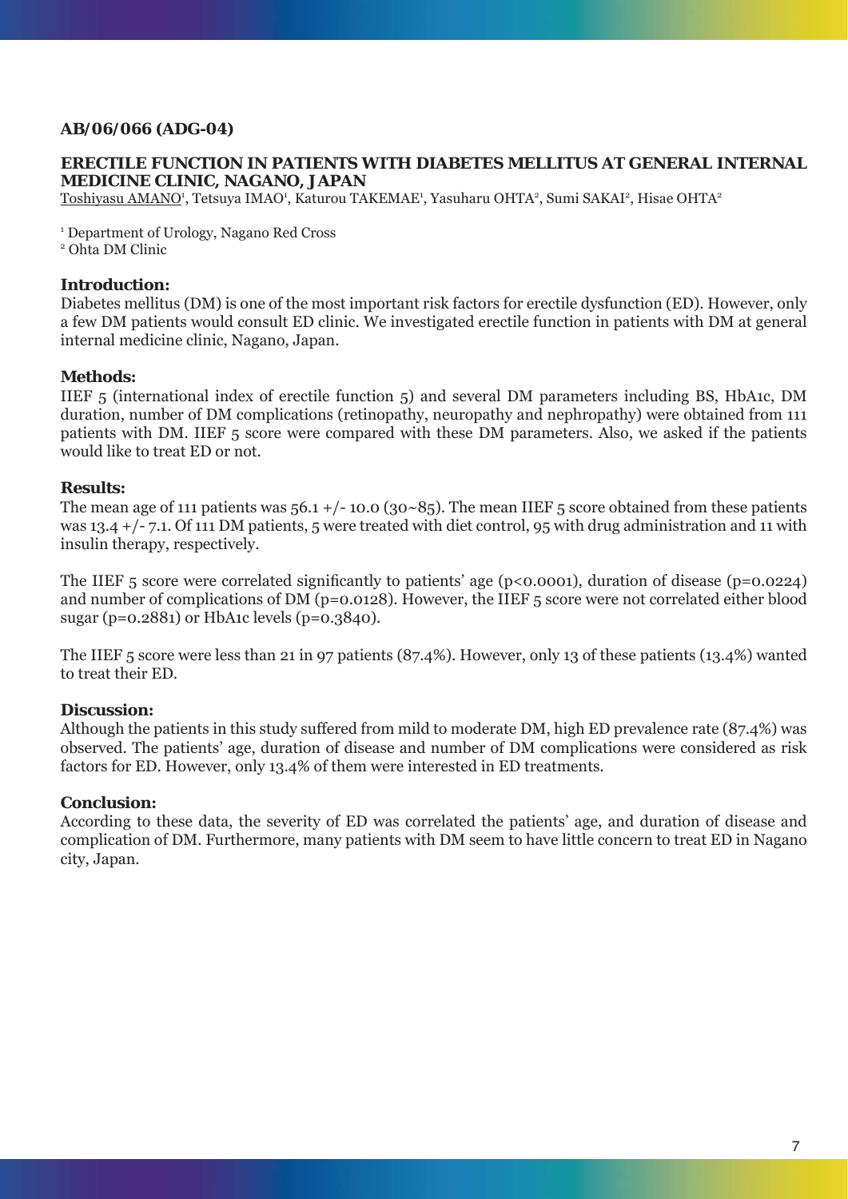# **AB/06/066 (ADG-04)**

### **ERECTILE FUNCTION IN PATIENTS WITH DIABETES MELLITUS AT GENERAL INTERNAL MEDICINE CLINIC, NAGANO, JAPAN**

 $\overline{\rm Toshiyasu\ AMANO^1}$ , Tetsuya IMAO<sup>1</sup>, Katurou TAKEMAE<sup>1</sup>, Yasuharu OHTA<sup>2</sup>, Sumi SAKAI<sup>2</sup>, Hisae OHTA<sup>2</sup>

1 Department of Urology, Nagano Red Cross 2 Ohta DM Clinic

## **Introduction:**

Diabetes mellitus (DM) is one of the most important risk factors for erectile dysfunction (ED). However, only a few DM patients would consult ED clinic. We investigated erectile function in patients with DM at general internal medicine clinic, Nagano, Japan.

# **Methods:**

IIEF 5 (international index of erectile function 5) and several DM parameters including BS, HbA1c, DM duration, number of DM complications (retinopathy, neuropathy and nephropathy) were obtained from 111 patients with DM. IIEF 5 score were compared with these DM parameters. Also, we asked if the patients would like to treat ED or not.

# **Results:**

The mean age of 111 patients was  $56.1 + (-10.0 (30 - 85))$ . The mean IIEF 5 score obtained from these patients was 13.4 +/- 7.1. Of 111 DM patients, 5 were treated with diet control, 95 with drug administration and 11 with insulin therapy, respectively.

The IIEF 5 score were correlated significantly to patients' age ( $p < 0.0001$ ), duration of disease ( $p = 0.0224$ ) and number of complications of DM (p=0.0128). However, the IIEF 5 score were not correlated either blood sugar (p=0.2881) or HbA1c levels (p=0.3840).

The IIEF 5 score were less than 21 in 97 patients (87.4%). However, only 13 of these patients (13.4%) wanted to treat their ED.

# **Discussion:**

Although the patients in this study suffered from mild to moderate DM, high ED prevalence rate (87.4%) was observed. The patients' age, duration of disease and number of DM complications were considered as risk factors for ED. However, only 13.4% of them were interested in ED treatments.

### **Conclusion:**

According to these data, the severity of ED was correlated the patients' age, and duration of disease and complication of DM. Furthermore, many patients with DM seem to have little concern to treat ED in Nagano city, Japan.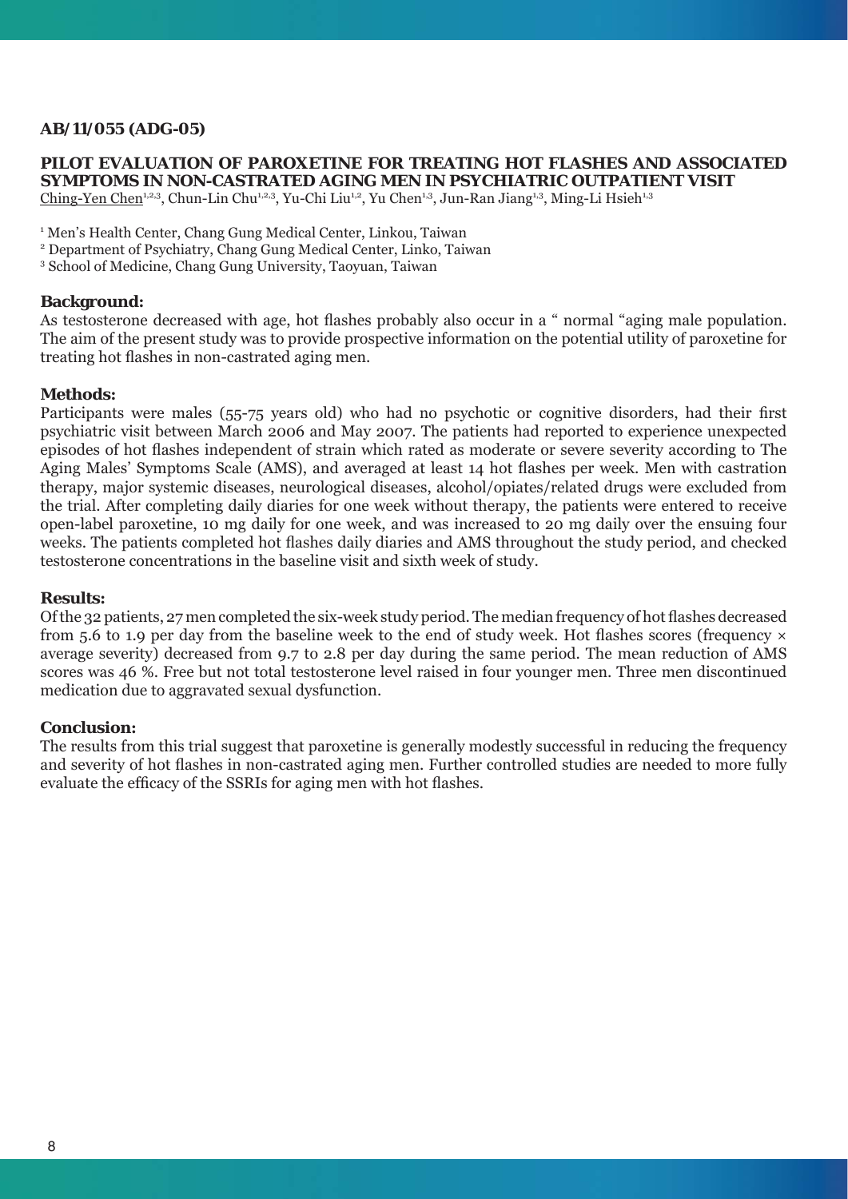# **AB/11/055 (ADG-05)**

### **PILOT EVALUATION OF PAROXETINE FOR TREATING HOT FLASHES AND ASSOCIATED SYMPTOMS IN NON-CASTRATED AGING MEN IN PSYCHIATRIC OUTPATIENT VISIT**

Ching-Yen Chen<sup>1,2,3</sup>, Chun-Lin Chu<sup>1,2,3</sup>, Yu-Chi Liu<sup>1,2</sup>, Yu Chen<sup>1,3</sup>, Jun-Ran Jiang<sup>1,3</sup>, Ming-Li Hsieh<sup>1,3</sup>

<sup>1</sup> Men's Health Center, Chang Gung Medical Center, Linkou, Taiwan

2 Department of Psychiatry, Chang Gung Medical Center, Linko, Taiwan

3 School of Medicine, Chang Gung University, Taoyuan, Taiwan

#### **Background:**

As testosterone decreased with age, hot flashes probably also occur in a " normal "aging male population. The aim of the present study was to provide prospective information on the potential utility of paroxetine for treating hot flashes in non-castrated aging men.

#### **Methods:**

Participants were males (55-75 years old) who had no psychotic or cognitive disorders, had their first psychiatric visit between March 2006 and May 2007. The patients had reported to experience unexpected episodes of hot flashes independent of strain which rated as moderate or severe severity according to The Aging Males' Symptoms Scale (AMS), and averaged at least 14 hot flashes per week. Men with castration therapy, major systemic diseases, neurological diseases, alcohol/opiates/related drugs were excluded from the trial. After completing daily diaries for one week without therapy, the patients were entered to receive open-label paroxetine, 10 mg daily for one week, and was increased to 20 mg daily over the ensuing four weeks. The patients completed hot flashes daily diaries and AMS throughout the study period, and checked testosterone concentrations in the baseline visit and sixth week of study.

#### **Results:**

Of the 32 patients, 27 men completed the six-week study period. The median frequency of hot flashes decreased from 5.6 to 1.9 per day from the baseline week to the end of study week. Hot flashes scores (frequency  $\times$ average severity) decreased from 9.7 to 2.8 per day during the same period. The mean reduction of AMS scores was 46 %. Free but not total testosterone level raised in four younger men. Three men discontinued medication due to aggravated sexual dysfunction.

### **Conclusion:**

The results from this trial suggest that paroxetine is generally modestly successful in reducing the frequency and severity of hot flashes in non-castrated aging men. Further controlled studies are needed to more fully evaluate the efficacy of the SSRIs for aging men with hot flashes.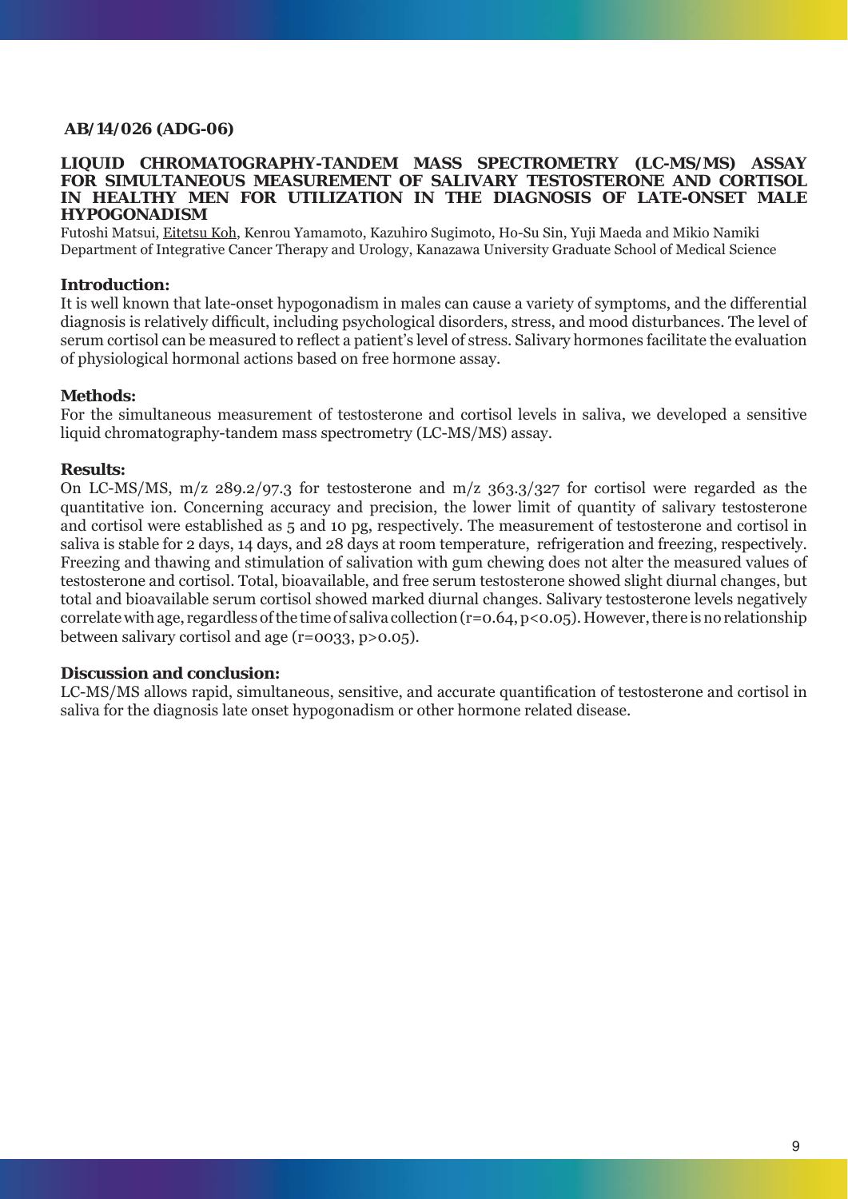# **AB/14/026 (ADG-06)**

### **LIQUID CHROMATOGRAPHY-TANDEM MASS SPECTROMETRY (LC-MS/MS) ASSAY FOR SIMULTANEOUS MEASUREMENT OF SALIVARY TESTOSTERONE AND CORTISOL IN HEALTHY MEN FOR UTILIZATION IN THE DIAGNOSIS OF LATE-ONSET MALE HYPOGONADISM**

Futoshi Matsui, Eitetsu Koh, Kenrou Yamamoto, Kazuhiro Sugimoto, Ho-Su Sin, Yuji Maeda and Mikio Namiki Department of Integrative Cancer Therapy and Urology, Kanazawa University Graduate School of Medical Science

## **Introduction:**

It is well known that late-onset hypogonadism in males can cause a variety of symptoms, and the differential diagnosis is relatively difficult, including psychological disorders, stress, and mood disturbances. The level of serum cortisol can be measured to reflect a patient's level of stress. Salivary hormones facilitate the evaluation of physiological hormonal actions based on free hormone assay.

### **Methods:**

For the simultaneous measurement of testosterone and cortisol levels in saliva, we developed a sensitive liquid chromatography-tandem mass spectrometry (LC-MS/MS) assay.

#### **Results:**

On LC-MS/MS, m/z 289.2/97.3 for testosterone and m/z 363.3/327 for cortisol were regarded as the quantitative ion. Concerning accuracy and precision, the lower limit of quantity of salivary testosterone and cortisol were established as 5 and 10 pg, respectively. The measurement of testosterone and cortisol in saliva is stable for 2 days, 14 days, and 28 days at room temperature, refrigeration and freezing, respectively. Freezing and thawing and stimulation of salivation with gum chewing does not alter the measured values of testosterone and cortisol. Total, bioavailable, and free serum testosterone showed slight diurnal changes, but total and bioavailable serum cortisol showed marked diurnal changes. Salivary testosterone levels negatively correlate with age, regardless of the time of saliva collection (r=0.64, p<0.05). However, there is no relationship between salivary cortisol and age (r=0033, p>0.05).

### **Discussion and conclusion:**

LC-MS/MS allows rapid, simultaneous, sensitive, and accurate quantification of testosterone and cortisol in saliva for the diagnosis late onset hypogonadism or other hormone related disease.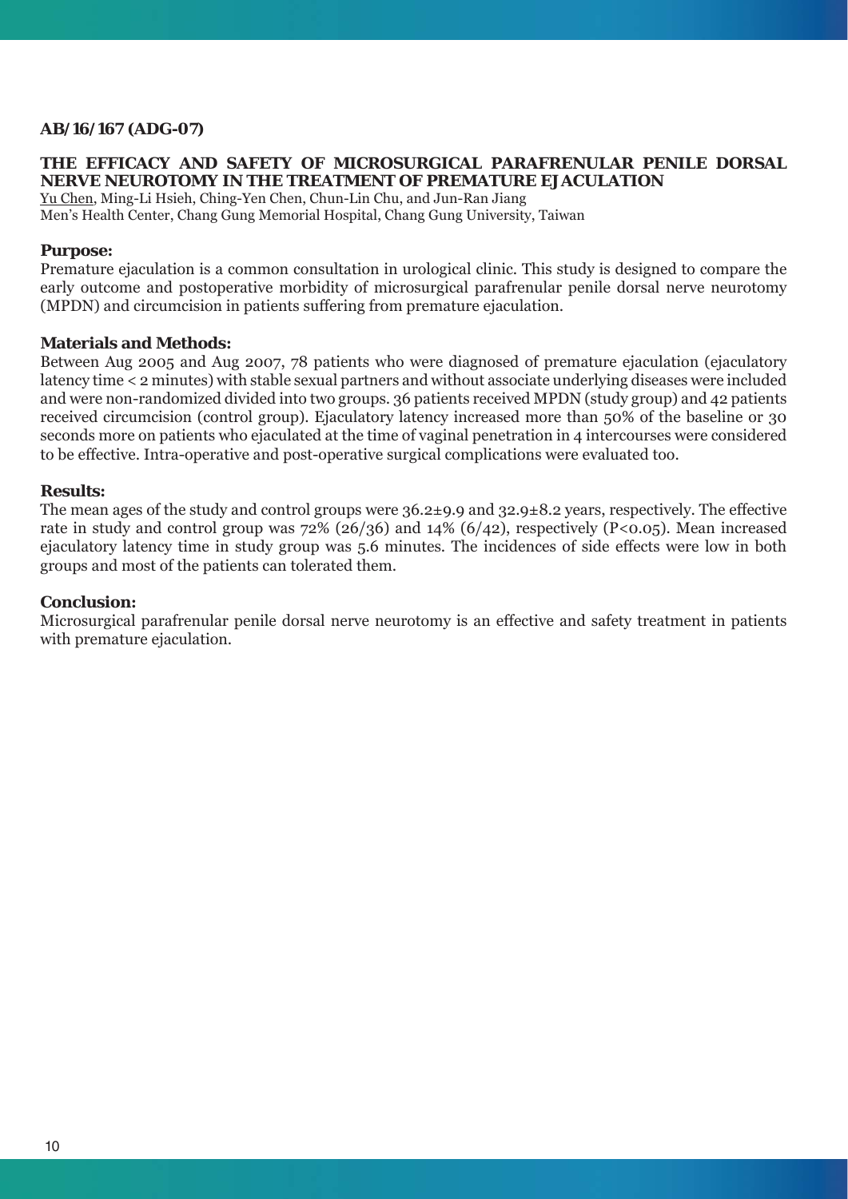# **AB/16/167 (ADG-07)**

# **THE EFFICACY AND SAFETY OF MICROSURGICAL PARAFRENULAR PENILE DORSAL NERVE NEUROTOMY IN THE TREATMENT OF PREMATURE EJACULATION**

Yu Chen, Ming-Li Hsieh, Ching-Yen Chen, Chun-Lin Chu, and Jun-Ran Jiang Men's Health Center, Chang Gung Memorial Hospital, Chang Gung University, Taiwan

# **Purpose:**

Premature ejaculation is a common consultation in urological clinic. This study is designed to compare the early outcome and postoperative morbidity of microsurgical parafrenular penile dorsal nerve neurotomy (MPDN) and circumcision in patients suffering from premature ejaculation.

### **Materials and Methods:**

Between Aug 2005 and Aug 2007, 78 patients who were diagnosed of premature ejaculation (ejaculatory latency time < 2 minutes) with stable sexual partners and without associate underlying diseases were included and were non-randomized divided into two groups. 36 patients received MPDN (study group) and 42 patients received circumcision (control group). Ejaculatory latency increased more than 50% of the baseline or 30 seconds more on patients who ejaculated at the time of vaginal penetration in 4 intercourses were considered to be effective. Intra-operative and post-operative surgical complications were evaluated too.

#### **Results:**

The mean ages of the study and control groups were 36.2±9.9 and 32.9±8.2 years, respectively. The effective rate in study and control group was 72% (26/36) and 14% (6/42), respectively (P<0.05). Mean increased ejaculatory latency time in study group was 5.6 minutes. The incidences of side effects were low in both groups and most of the patients can tolerated them.

#### **Conclusion:**

Microsurgical parafrenular penile dorsal nerve neurotomy is an effective and safety treatment in patients with premature ejaculation.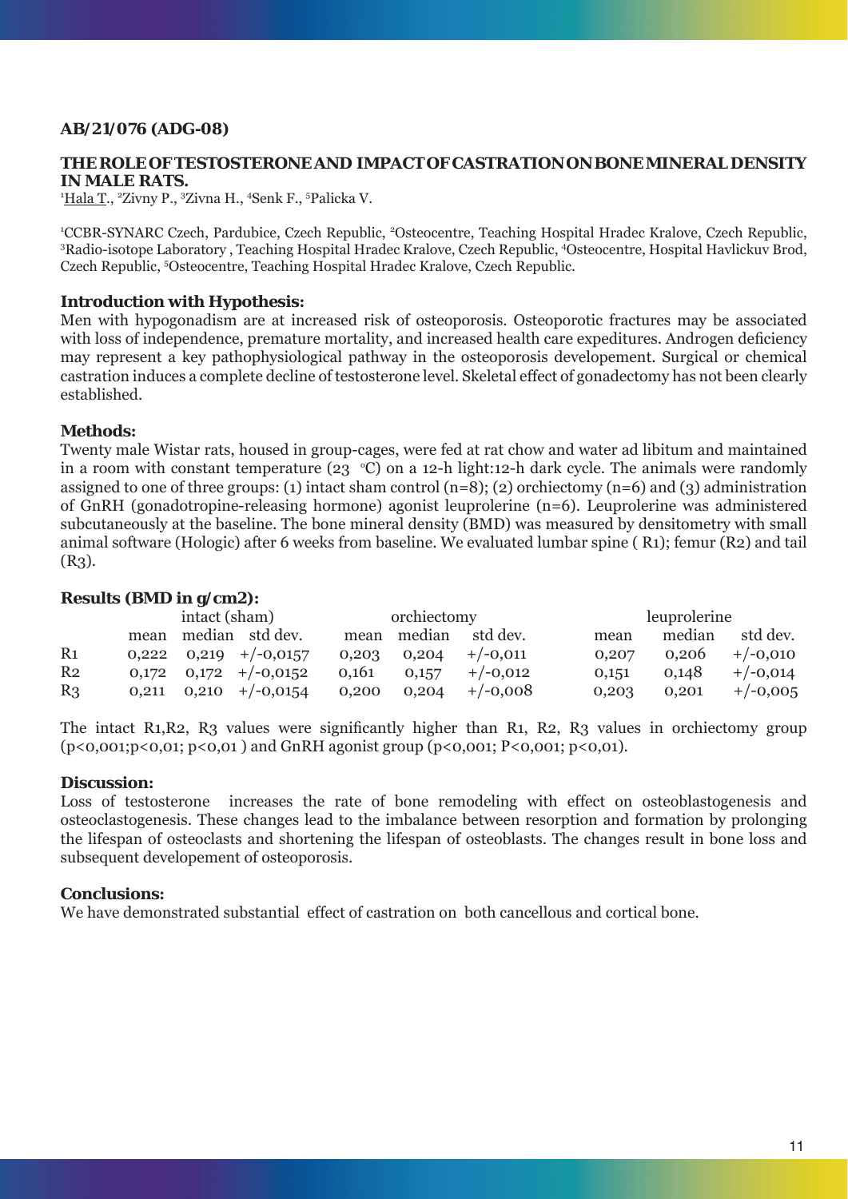# **AB/21/076 (ADG-08)**

## **THE ROLE OF TESTOSTERONE AND IMPACT OF CASTRATION ON BONE MINERAL DENSITY IN MALE RATS.**

<sup>1</sup>Hala T., <sup>2</sup>Zivny P., <sup>3</sup>Zivna H., <sup>4</sup>Senk F., <sup>5</sup>Palicka V.

<sup>1</sup>CCBR-SYNARC Czech, Pardubice, Czech Republic, <sup>2</sup>Osteocentre, Teaching Hospital Hradec Kralove, Czech Republic,<br><sup>3</sup>Radio isotopa Laboratory, Teaching Hospital Hradec Kralove, Czech Republic, <sup>4</sup>Osteocentre, Hospital Hav Radio-isotope Laboratory , Teaching Hospital Hradec Kralove, Czech Republic, 4 Osteocentre, Hospital Havlickuv Brod, Czech Republic, <sup>5</sup>Osteocentre, Teaching Hospital Hradec Kralove, Czech Republic.

### **Introduction with Hypothesis:**

Men with hypogonadism are at increased risk of osteoporosis. Osteoporotic fractures may be associated with loss of independence, premature mortality, and increased health care expeditures. Androgen deficiency may represent a key pathophysiological pathway in the osteoporosis developement. Surgical or chemical castration induces a complete decline of testosterone level. Skeletal effect of gonadectomy has not been clearly established.

# **Methods:**

Twenty male Wistar rats, housed in group-cages, were fed at rat chow and water ad libitum and maintained in a room with constant temperature (23  $^{\circ}$ C) on a 12-h light:12-h dark cycle. The animals were randomly assigned to one of three groups: (1) intact sham control  $(n=8)$ ; (2) orchiectomy  $(n=6)$  and (3) administration of GnRH (gonadotropine-releasing hormone) agonist leuprolerine (n=6). Leuprolerine was administered subcutaneously at the baseline. The bone mineral density (BMD) was measured by densitometry with small animal software (Hologic) after 6 weeks from baseline. We evaluated lumbar spine ( R1); femur (R2) and tail  $(R<sub>3</sub>)$ .

# **Results (BMD in g/cm2):**

|                |       | intact (sham) |                             | orchiectomy |       |                      |       | leuprolerine |            |  |
|----------------|-------|---------------|-----------------------------|-------------|-------|----------------------|-------|--------------|------------|--|
|                | mean  |               | median std dev.             |             |       | mean median std dev. | mean  | median       | std dev.   |  |
| R <sub>1</sub> |       |               | $0,222$ $0,219$ $+/-0,0157$ | 0,203       | 0.204 | $+/-0,011$           | 0.207 | 0,206        | $+/-0,010$ |  |
| R <sub>2</sub> | 0.172 |               | $0,172$ +/-0,0152           | 0.161       | 0,157 | $+/-0.012$           | 0,151 | 0.148        | $+/-0,014$ |  |
| R <sub>3</sub> | 0.211 |               | $0,210$ +/-0,0154           | 0,200       | 0.204 | $+/-0,008$           | 0,203 | 0.201        | $+/-0,005$ |  |

The intact R1, R2, R3 values were significantly higher than R1, R2, R3 values in orchiectomy group  $(p<0,001; p<0,01; p<0,01)$  and GnRH agonist group  $(p<0,001; P<0,001; p<0,01)$ .

### **Discussion:**

Loss of testosterone increases the rate of bone remodeling with effect on osteoblastogenesis and osteoclastogenesis. These changes lead to the imbalance between resorption and formation by prolonging the lifespan of osteoclasts and shortening the lifespan of osteoblasts. The changes result in bone loss and subsequent developement of osteoporosis.

### **Conclusions:**

We have demonstrated substantial effect of castration on both cancellous and cortical bone.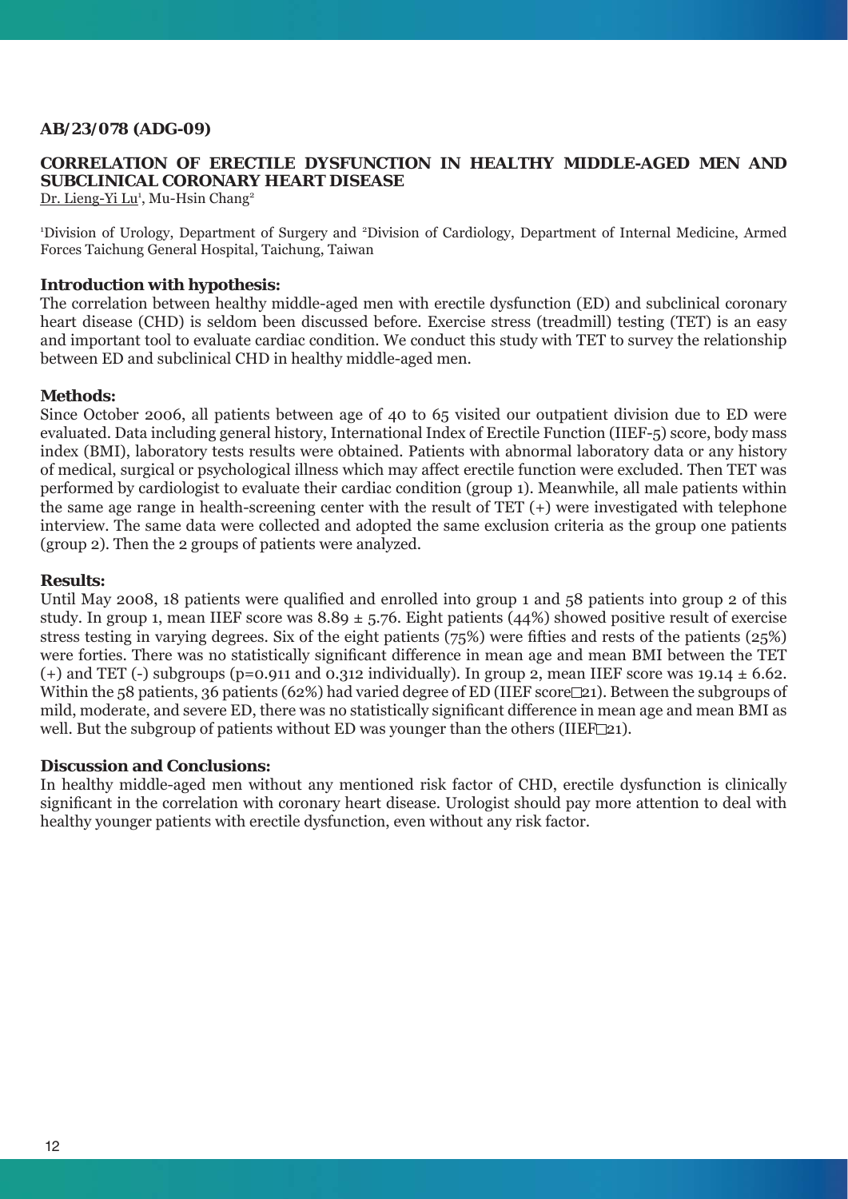# **AB/23/078 (ADG-09)**

# **CORRELATION OF ERECTILE DYSFUNCTION IN HEALTHY MIDDLE-AGED MEN AND SUBCLINICAL CORONARY HEART DISEASE**

Dr. Lieng-Yi Lu<sup>1</sup>, Mu-Hsin Chang<sup>2</sup>

1 Division of Urology, Department of Surgery and 2 Division of Cardiology, Department of Internal Medicine, Armed Forces Taichung General Hospital, Taichung, Taiwan

### **Introduction with hypothesis:**

The correlation between healthy middle-aged men with erectile dysfunction (ED) and subclinical coronary heart disease (CHD) is seldom been discussed before. Exercise stress (treadmill) testing (TET) is an easy and important tool to evaluate cardiac condition. We conduct this study with TET to survey the relationship between ED and subclinical CHD in healthy middle-aged men.

### **Methods:**

Since October 2006, all patients between age of 40 to 65 visited our outpatient division due to ED were evaluated. Data including general history, International Index of Erectile Function (IIEF-5) score, body mass index (BMI), laboratory tests results were obtained. Patients with abnormal laboratory data or any history of medical, surgical or psychological illness which may affect erectile function were excluded. Then TET was performed by cardiologist to evaluate their cardiac condition (group 1). Meanwhile, all male patients within the same age range in health-screening center with the result of TET (+) were investigated with telephone interview. The same data were collected and adopted the same exclusion criteria as the group one patients (group 2). Then the 2 groups of patients were analyzed.

### **Results:**

Until May 2008, 18 patients were qualified and enrolled into group 1 and 58 patients into group 2 of this study. In group 1, mean IIEF score was  $8.89 \pm 5.76$ . Eight patients (44%) showed positive result of exercise stress testing in varying degrees. Six of the eight patients  $(75%)$  were fifties and rests of the patients  $(25%)$ were forties. There was no statistically significant difference in mean age and mean BMI between the TET (+) and TET (-) subgroups (p=0.911 and 0.312 individually). In group 2, mean IIEF score was 19.14  $\pm$  6.62. Within the 58 patients, 36 patients (62%) had varied degree of ED (IIEF score $\Box$ 21). Between the subgroups of mild, moderate, and severe ED, there was no statistically significant difference in mean age and mean BMI as well. But the subgroup of patients without ED was younger than the others (IIEF $\Box$ 21).

### **Discussion and Conclusions:**

In healthy middle-aged men without any mentioned risk factor of CHD, erectile dysfunction is clinically significant in the correlation with coronary heart disease. Urologist should pay more attention to deal with healthy younger patients with erectile dysfunction, even without any risk factor.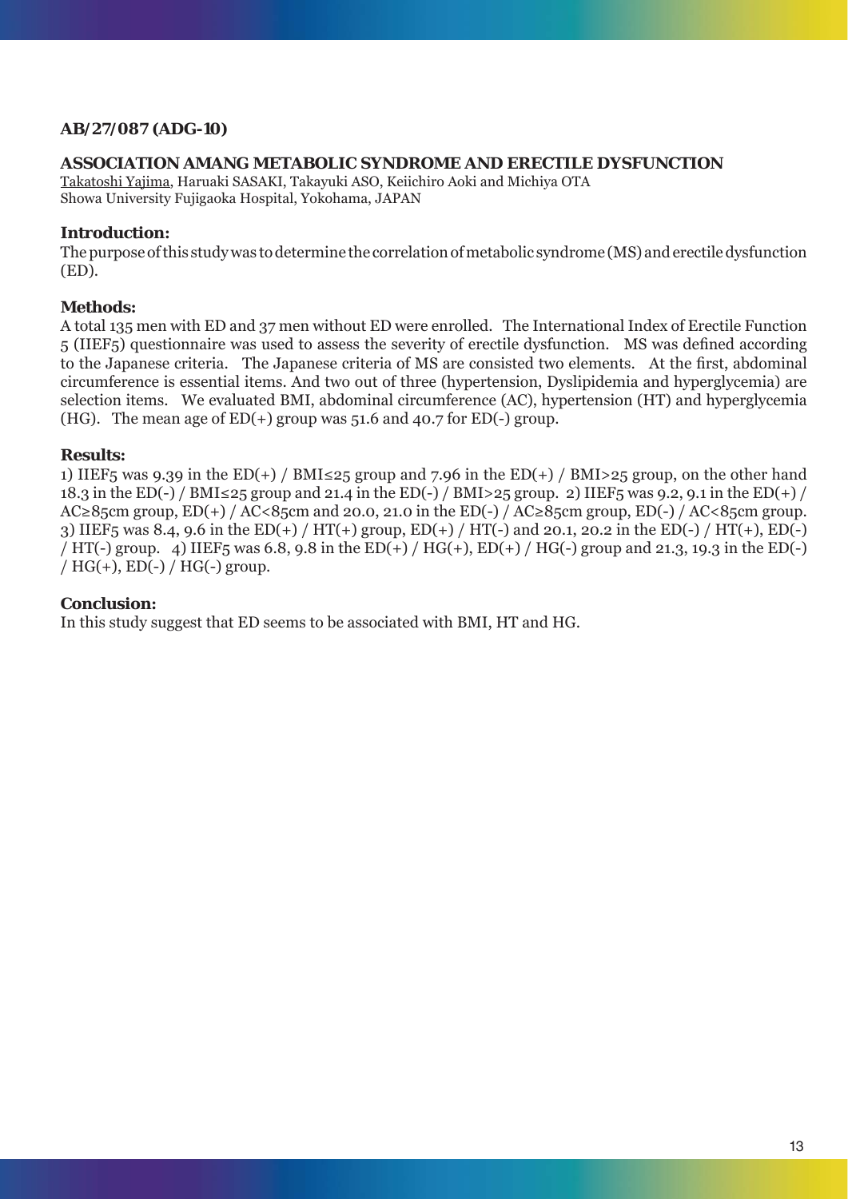# **AB/27/087 (ADG-10)**

# **ASSOCIATION AMANG METABOLIC SYNDROME AND ERECTILE DYSFUNCTION**

Takatoshi Yajima, Haruaki SASAKI, Takayuki ASO, Keiichiro Aoki and Michiya OTA Showa University Fujigaoka Hospital, Yokohama, JAPAN

### **Introduction:**

The purpose of this study was to determine the correlation of metabolic syndrome (MS) and erectile dysfunction (ED).

# **Methods:**

A total 135 men with ED and 37 men without ED were enrolled. The International Index of Erectile Function 5 (IIEF5) questionnaire was used to assess the severity of erectile dysfunction. MS was defined according to the Japanese criteria. The Japanese criteria of MS are consisted two elements. At the first, abdominal circumference is essential items. And two out of three (hypertension, Dyslipidemia and hyperglycemia) are selection items. We evaluated BMI, abdominal circumference (AC), hypertension (HT) and hyperglycemia (HG). The mean age of  $ED(+)$  group was 51.6 and 40.7 for  $ED(-)$  group.

### **Results:**

1) IIEF5 was 9.39 in the ED(+) / BMI≤25 group and 7.96 in the ED(+) / BMI>25 group, on the other hand 18.3 in the ED(-) / BMI≤25 group and 21.4 in the ED(-) / BMI>25 group. 2) IIEF5 was 9.2, 9.1 in the ED(+) / AC≥85cm group, ED(+) / AC<85cm and 20.0, 21.0 in the ED(-) / AC≥85cm group, ED(-) / AC<85cm group. 3) IIEF5 was 8.4, 9.6 in the ED(+) / HT(+) group, ED(+) / HT(-) and 20.1, 20.2 in the ED(-) / HT(+), ED(-) / HT(-) group. 4) IIEF5 was 6.8, 9.8 in the ED(+) / HG(+), ED(+) / HG(-) group and 21.3, 19.3 in the ED(-) /  $HG(+)$ ,  $ED(-)$  /  $HG(-)$  group.

### **Conclusion:**

In this study suggest that ED seems to be associated with BMI, HT and HG.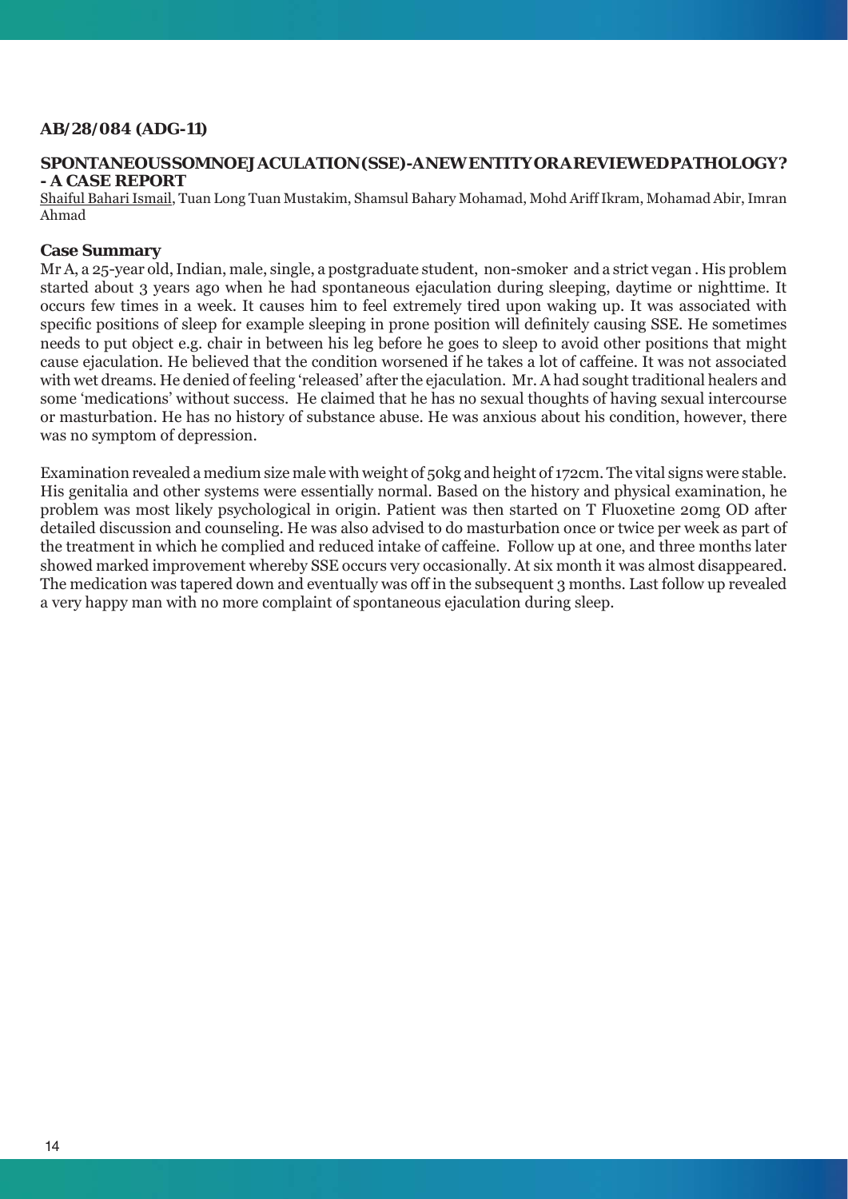# **AB/28/084 (ADG-11)**

# **SPONTANEOUS SOMNOEJACULATION (SSE)-A NEW ENTITY OR A REVIEWED PATHOLOGY? - A CASE REPORT**

Shaiful Bahari Ismail, Tuan Long Tuan Mustakim, Shamsul Bahary Mohamad, Mohd Ariff Ikram, Mohamad Abir, Imran Ahmad

### **Case Summary**

Mr A, a 25-year old, Indian, male, single, a postgraduate student, non-smoker and a strict vegan . His problem started about 3 years ago when he had spontaneous ejaculation during sleeping, daytime or nighttime. It occurs few times in a week. It causes him to feel extremely tired upon waking up. It was associated with specific positions of sleep for example sleeping in prone position will definitely causing SSE. He sometimes needs to put object e.g. chair in between his leg before he goes to sleep to avoid other positions that might cause ejaculation. He believed that the condition worsened if he takes a lot of caffeine. It was not associated with wet dreams. He denied of feeling 'released' after the ejaculation. Mr. A had sought traditional healers and some 'medications' without success. He claimed that he has no sexual thoughts of having sexual intercourse or masturbation. He has no history of substance abuse. He was anxious about his condition, however, there was no symptom of depression.

Examination revealed a medium size male with weight of 50kg and height of 172cm. The vital signs were stable. His genitalia and other systems were essentially normal. Based on the history and physical examination, he problem was most likely psychological in origin. Patient was then started on T Fluoxetine 20mg OD after detailed discussion and counseling. He was also advised to do masturbation once or twice per week as part of the treatment in which he complied and reduced intake of caffeine. Follow up at one, and three months later showed marked improvement whereby SSE occurs very occasionally. At six month it was almost disappeared. The medication was tapered down and eventually was off in the subsequent 3 months. Last follow up revealed a very happy man with no more complaint of spontaneous ejaculation during sleep.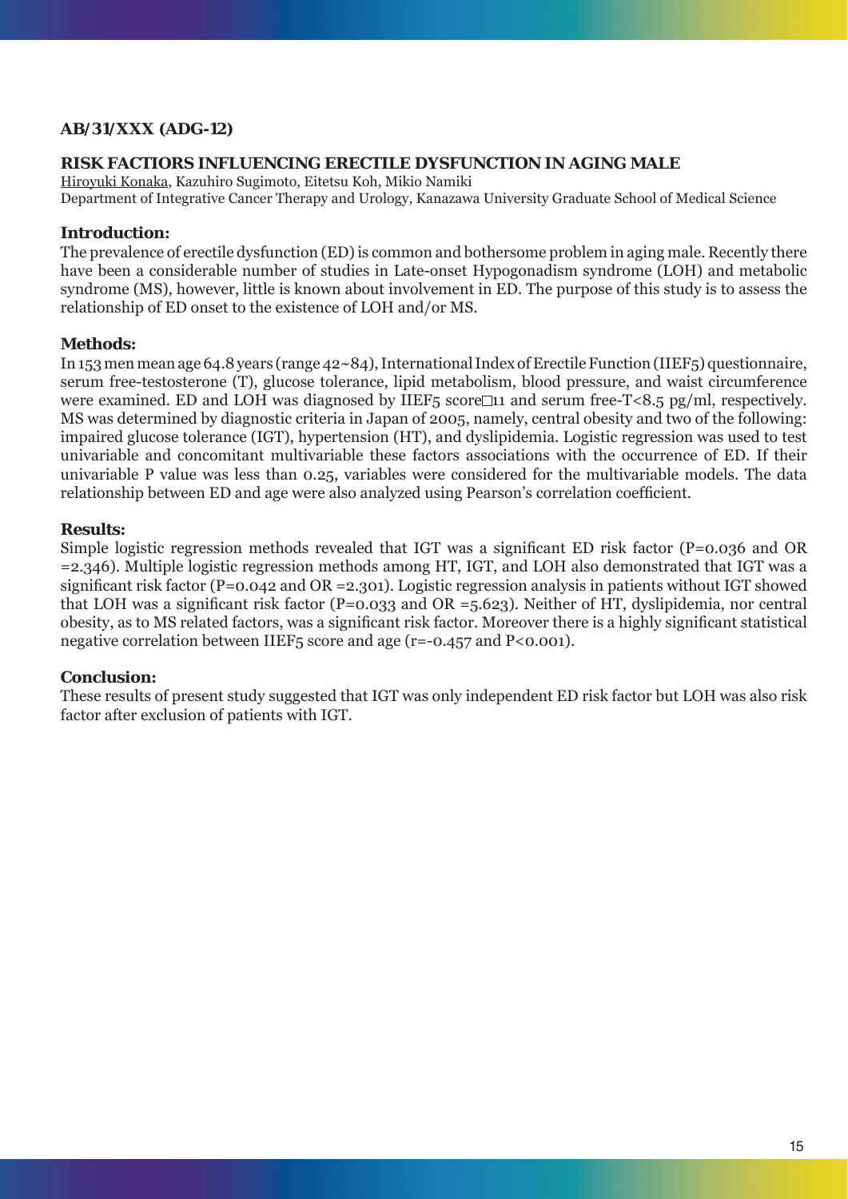# **AB/31/XXX (ADG-12)**

# **RISK FACTIORS INFLUENCING ERECTILE DYSFUNCTION IN AGING MALE**

Hiroyuki Konaka, Kazuhiro Sugimoto, Eitetsu Koh, Mikio Namiki Department of Integrative Cancer Therapy and Urology, Kanazawa University Graduate School of Medical Science

# **Introduction:**

The prevalence of erectile dysfunction (ED) is common and bothersome problem in aging male. Recently there have been a considerable number of studies in Late-onset Hypogonadism syndrome (LOH) and metabolic syndrome (MS), however, little is known about involvement in ED. The purpose of this study is to assess the relationship of ED onset to the existence of LOH and/or MS.

# **Methods:**

In 153 men mean age 64.8 years (range 42~84), International Index of Erectile Function (IIEF5) questionnaire, serum free-testosterone (T), glucose tolerance, lipid metabolism, blood pressure, and waist circumference were examined. ED and LOH was diagnosed by IIEF<sub>5</sub> score $\Box$ 11 and serum free-T<8.5 pg/ml, respectively. MS was determined by diagnostic criteria in Japan of 2005, namely, central obesity and two of the following: impaired glucose tolerance (IGT), hypertension (HT), and dyslipidemia. Logistic regression was used to test univariable and concomitant multivariable these factors associations with the occurrence of ED. If their univariable P value was less than 0.25, variables were considered for the multivariable models. The data relationship between ED and age were also analyzed using Pearson's correlation coefficient.

# **Results:**

Simple logistic regression methods revealed that IGT was a significant ED risk factor ( $P=0.036$  and OR =2.346). Multiple logistic regression methods among HT, IGT, and LOH also demonstrated that IGT was a significant risk factor (P=0.042 and OR =2.301). Logistic regression analysis in patients without IGT showed that LOH was a significant risk factor (P=0.033 and OR =5.623). Neither of HT, dyslipidemia, nor central obesity, as to MS related factors, was a significant risk factor. Moreover there is a highly significant statistical negative correlation between IIEF5 score and age (r=-0.457 and P<0.001).

# **Conclusion:**

These results of present study suggested that IGT was only independent ED risk factor but LOH was also risk factor after exclusion of patients with IGT.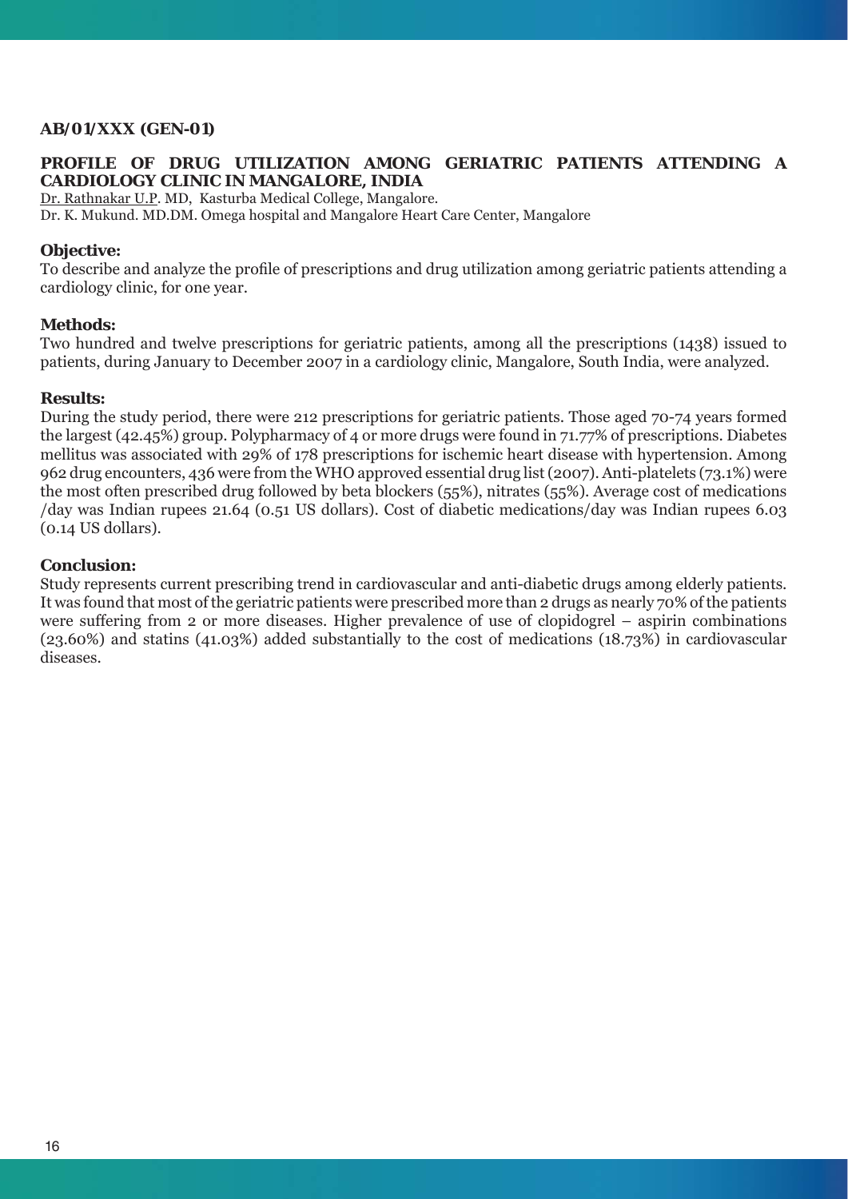# **AB/01/XXX (GEN-01)**

# **PROFILE OF DRUG UTILIZATION AMONG GERIATRIC PATIENTS ATTENDING A CARDIOLOGY CLINIC IN MANGALORE, INDIA**

Dr. Rathnakar U.P. MD, Kasturba Medical College, Mangalore.

Dr. K. Mukund. MD.DM. Omega hospital and Mangalore Heart Care Center, Mangalore

### **Objective:**

To describe and analyze the profile of prescriptions and drug utilization among geriatric patients attending a cardiology clinic, for one year.

#### **Methods:**

Two hundred and twelve prescriptions for geriatric patients, among all the prescriptions (1438) issued to patients, during January to December 2007 in a cardiology clinic, Mangalore, South India, were analyzed.

# **Results:**

During the study period, there were 212 prescriptions for geriatric patients. Those aged 70-74 years formed the largest (42.45%) group. Polypharmacy of 4 or more drugs were found in 71.77% of prescriptions. Diabetes mellitus was associated with 29% of 178 prescriptions for ischemic heart disease with hypertension. Among 962 drug encounters, 436 were from the WHO approved essential drug list (2007). Anti-platelets (73.1%) were the most often prescribed drug followed by beta blockers (55%), nitrates (55%). Average cost of medications /day was Indian rupees 21.64 (0.51 US dollars). Cost of diabetic medications/day was Indian rupees 6.03 (0.14 US dollars).

#### **Conclusion:**

Study represents current prescribing trend in cardiovascular and anti-diabetic drugs among elderly patients. It was found that most of the geriatric patients were prescribed more than 2 drugs as nearly 70% of the patients were suffering from 2 or more diseases. Higher prevalence of use of clopidogrel – aspirin combinations (23.60%) and statins (41.03%) added substantially to the cost of medications (18.73%) in cardiovascular diseases.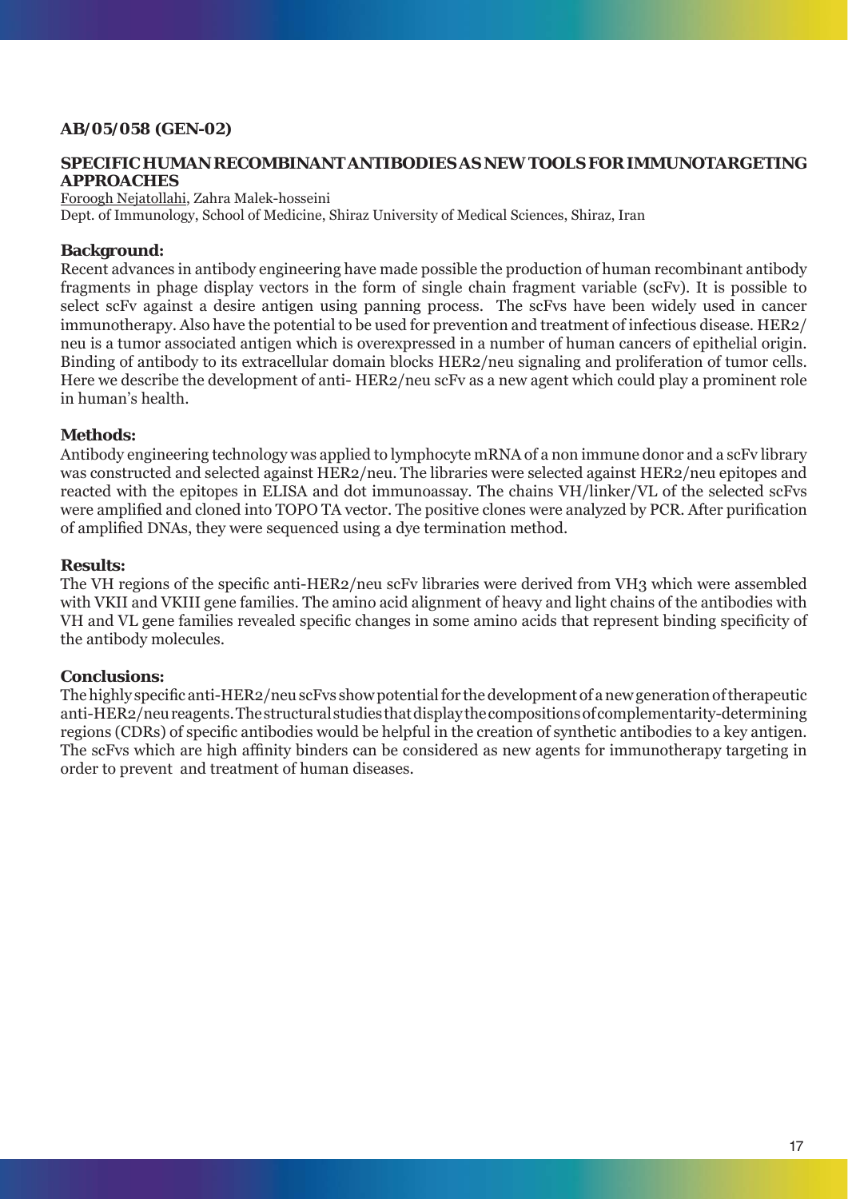# **AB/05/058 (GEN-02)**

# **SPECIFIC HUMAN RECOMBINANT ANTIBODIES AS NEW TOOLS FOR IMMUNOTARGETING APPROACHES**

Foroogh Nejatollahi, Zahra Malek-hosseini

Dept. of Immunology, School of Medicine, Shiraz University of Medical Sciences, Shiraz, Iran

# **Background:**

Recent advances in antibody engineering have made possible the production of human recombinant antibody fragments in phage display vectors in the form of single chain fragment variable (scFv). It is possible to select scFv against a desire antigen using panning process. The scFvs have been widely used in cancer immunotherapy. Also have the potential to be used for prevention and treatment of infectious disease. HER2/ neu is a tumor associated antigen which is overexpressed in a number of human cancers of epithelial origin. Binding of antibody to its extracellular domain blocks HER2/neu signaling and proliferation of tumor cells. Here we describe the development of anti- HER2/neu scFv as a new agent which could play a prominent role in human's health.

# **Methods:**

Antibody engineering technology was applied to lymphocyte mRNA of a non immune donor and a scFv library was constructed and selected against HER2/neu. The libraries were selected against HER2/neu epitopes and reacted with the epitopes in ELISA and dot immunoassay. The chains VH/linker/VL of the selected scFvs were amplified and cloned into TOPO TA vector. The positive clones were analyzed by PCR. After purification of amplified DNAs, they were sequenced using a dye termination method.

### **Results:**

The VH regions of the specific anti-HER2/neu scFv libraries were derived from VH3 which were assembled with VKII and VKIII gene families. The amino acid alignment of heavy and light chains of the antibodies with VH and VL gene families revealed specific changes in some amino acids that represent binding specificity of the antibody molecules.

### **Conclusions:**

The highly specific anti-HER2/neu scFvs show potential for the development of a new generation of therapeutic anti-HER2/neu reagents. The structural studies that display the compositions of complementarity-determining regions (CDRs) of specific antibodies would be helpful in the creation of synthetic antibodies to a key antigen. The scFvs which are high affinity binders can be considered as new agents for immunotherapy targeting in order to prevent and treatment of human diseases.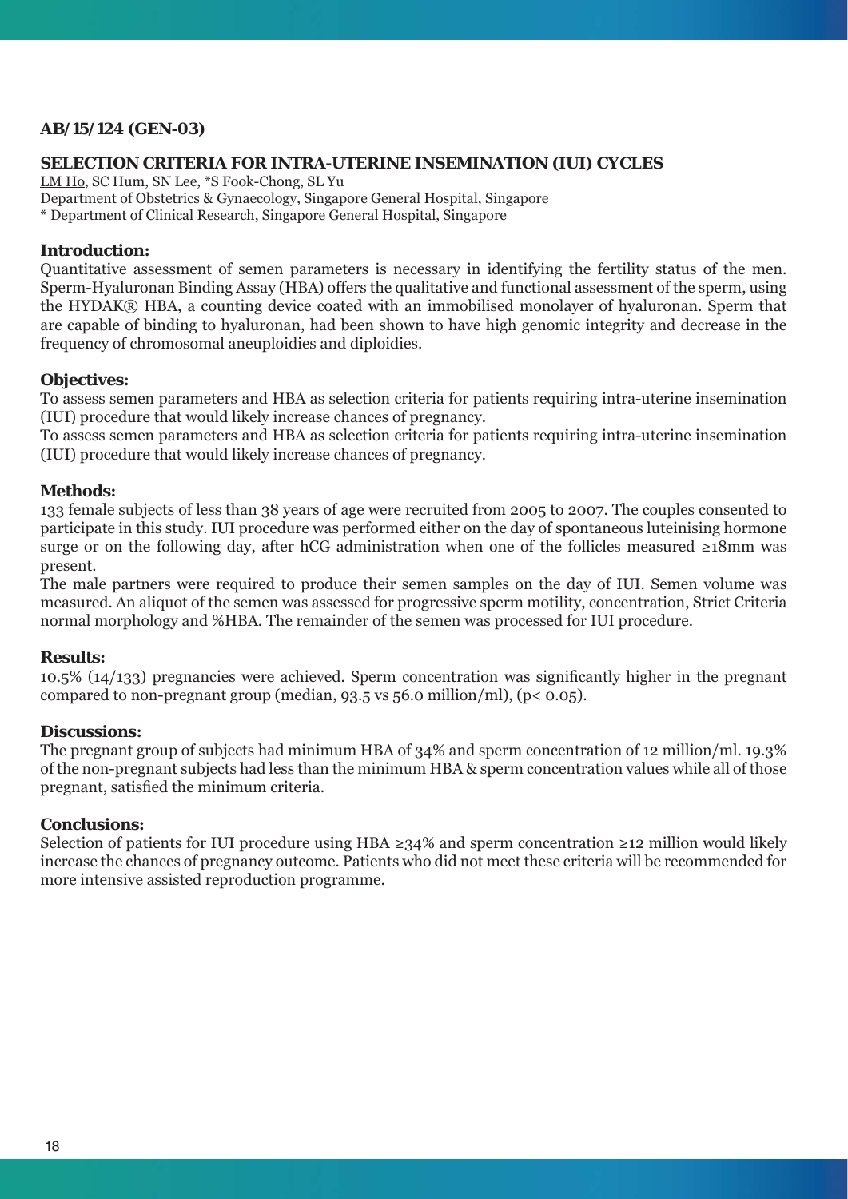# **AB/15/124 (GEN-03)**

## **SELECTION CRITERIA FOR INTRA-UTERINE INSEMINATION (IUI) CYCLES**

LM Ho, SC Hum, SN Lee, \*S Fook-Chong, SL Yu

Department of Obstetrics & Gynaecology, Singapore General Hospital, Singapore

\* Department of Clinical Research, Singapore General Hospital, Singapore

### **Introduction:**

Quantitative assessment of semen parameters is necessary in identifying the fertility status of the men. Sperm-Hyaluronan Binding Assay (HBA) offers the qualitative and functional assessment of the sperm, using the HYDAK® HBA, a counting device coated with an immobilised monolayer of hyaluronan. Sperm that are capable of binding to hyaluronan, had been shown to have high genomic integrity and decrease in the frequency of chromosomal aneuploidies and diploidies.

#### **Objectives:**

To assess semen parameters and HBA as selection criteria for patients requiring intra-uterine insemination (IUI) procedure that would likely increase chances of pregnancy.

To assess semen parameters and HBA as selection criteria for patients requiring intra-uterine insemination (IUI) procedure that would likely increase chances of pregnancy.

### **Methods:**

133 female subjects of less than 38 years of age were recruited from 2005 to 2007. The couples consented to participate in this study. IUI procedure was performed either on the day of spontaneous luteinising hormone surge or on the following day, after hCG administration when one of the follicles measured ≥18mm was present.

The male partners were required to produce their semen samples on the day of IUI. Semen volume was measured. An aliquot of the semen was assessed for progressive sperm motility, concentration, Strict Criteria normal morphology and %HBA. The remainder of the semen was processed for IUI procedure.

### **Results:**

 $10.5\%$  ( $14/133$ ) pregnancies were achieved. Sperm concentration was significantly higher in the pregnant compared to non-pregnant group (median,  $93.5$  vs  $56.0$  million/ml), ( $p < 0.05$ ).

## **Discussions:**

The pregnant group of subjects had minimum HBA of 34% and sperm concentration of 12 million/ml. 19.3% of the non-pregnant subjects had less than the minimum HBA & sperm concentration values while all of those pregnant, satisfied the minimum criteria.

# **Conclusions:**

Selection of patients for IUI procedure using HBA ≥34% and sperm concentration ≥12 million would likely increase the chances of pregnancy outcome. Patients who did not meet these criteria will be recommended for more intensive assisted reproduction programme.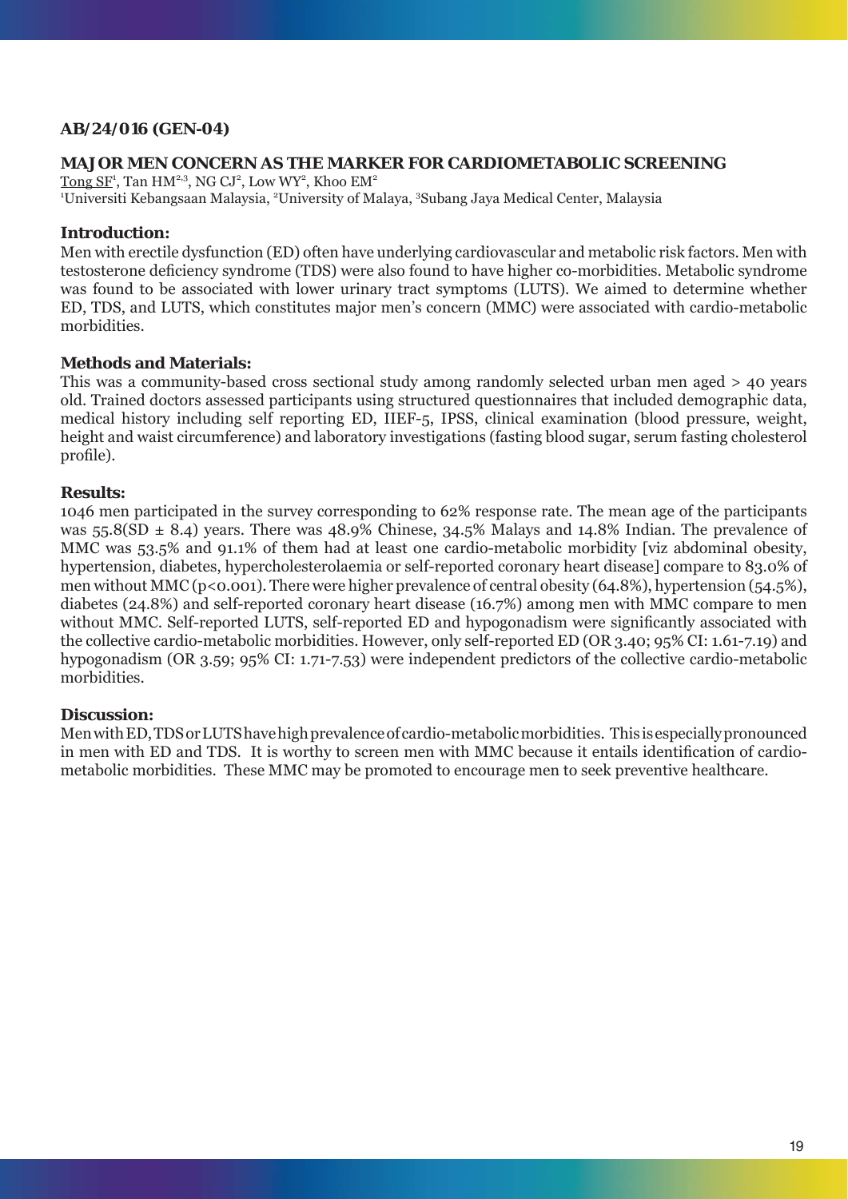# **AB/24/016 (GEN-04)**

# **MAJOR MEN CONCERN AS THE MARKER FOR CARDIOMETABOLIC SCREENING**

 $\overline{\text{Long SF}}^1$ ,  $\text{Tan HM}^{2,3}$ , NG CJ<sup>2</sup>, Low WY<sup>2</sup>, Khoo EM<sup>2</sup> <sup>1</sup>Universiti Kebangsaan Malaysia, <sup>2</sup>University of Malaya, <sup>3</sup>Subang Jaya Medical Center, Malaysia

## **Introduction:**

Men with erectile dysfunction (ED) often have underlying cardiovascular and metabolic risk factors. Men with testosterone deficiency syndrome (TDS) were also found to have higher co-morbidities. Metabolic syndrome was found to be associated with lower urinary tract symptoms (LUTS). We aimed to determine whether ED, TDS, and LUTS, which constitutes major men's concern (MMC) were associated with cardio-metabolic morbidities.

# **Methods and Materials:**

This was a community-based cross sectional study among randomly selected urban men aged > 40 years old. Trained doctors assessed participants using structured questionnaires that included demographic data, medical history including self reporting ED, IIEF-5, IPSS, clinical examination (blood pressure, weight, height and waist circumference) and laboratory investigations (fasting blood sugar, serum fasting cholesterol profile).

# **Results:**

1046 men participated in the survey corresponding to 62% response rate. The mean age of the participants was 55.8( $SD \pm 8.4$ ) years. There was 48.9% Chinese, 34.5% Malays and 14.8% Indian. The prevalence of MMC was 53.5% and 91.1% of them had at least one cardio-metabolic morbidity [viz abdominal obesity, hypertension, diabetes, hypercholesterolaemia or self-reported coronary heart disease] compare to 83.0% of men without MMC ( $p < 0.001$ ). There were higher prevalence of central obesity (64.8%), hypertension (54.5%), diabetes (24.8%) and self-reported coronary heart disease (16.7%) among men with MMC compare to men without MMC. Self-reported LUTS, self-reported ED and hypogonadism were significantly associated with the collective cardio-metabolic morbidities. However, only self-reported ED (OR 3.40; 95% CI: 1.61-7.19) and hypogonadism (OR 3.59; 95% CI: 1.71-7.53) were independent predictors of the collective cardio-metabolic morbidities.

### **Discussion:**

Men with ED, TDS or LUTS have high prevalence of cardio-metabolic morbidities. This is especially pronounced in men with ED and TDS. It is worthy to screen men with MMC because it entails identification of cardiometabolic morbidities. These MMC may be promoted to encourage men to seek preventive healthcare.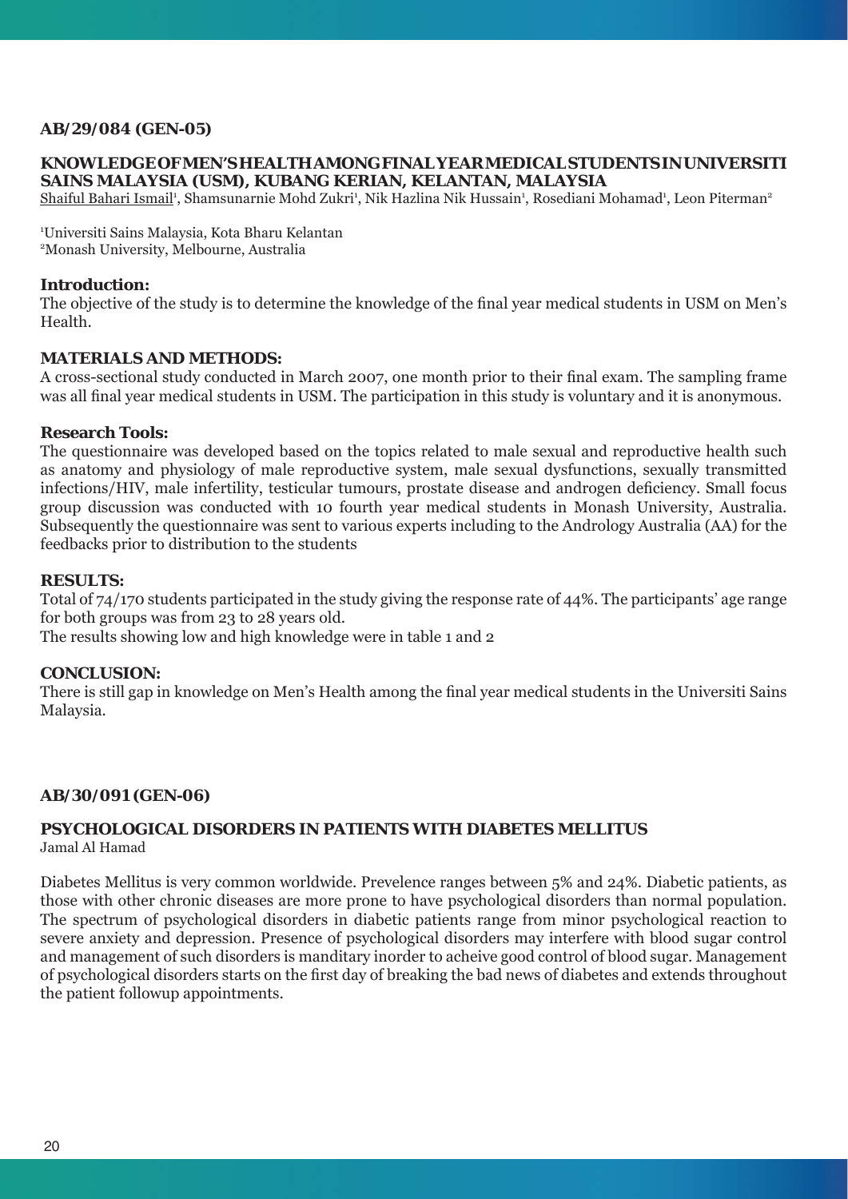# **AB/29/084 (GEN-05)**

### **KNOWLEDGE OF MEN'S HEALTH AMONG FINAL YEAR MEDICAL STUDENTS IN UNIVERSITI SAINS MALAYSIA (USM), KUBANG KERIAN, KELANTAN, MALAYSIA**

<u>Shaiful Bahari Ismail</u><sup>1</sup>, Shamsunarnie Mohd Zukri<sup>1</sup>, Nik Hazlina Nik Hussain<sup>1</sup>, Rosediani Mohamad<sup>1</sup>, Leon Piterman<sup>2</sup>

1 Universiti Sains Malaysia, Kota Bharu Kelantan 2 Monash University, Melbourne, Australia

### **Introduction:**

The objective of the study is to determine the knowledge of the final year medical students in USM on Men's Health.

### **MATERIALS AND METHODS:**

A cross-sectional study conducted in March 2007, one month prior to their final exam. The sampling frame was all final year medical students in USM. The participation in this study is voluntary and it is anonymous.

#### **Research Tools:**

The questionnaire was developed based on the topics related to male sexual and reproductive health such as anatomy and physiology of male reproductive system, male sexual dysfunctions, sexually transmitted infections/HIV, male infertility, testicular tumours, prostate disease and androgen deficiency. Small focus group discussion was conducted with 10 fourth year medical students in Monash University, Australia. Subsequently the questionnaire was sent to various experts including to the Andrology Australia (AA) for the feedbacks prior to distribution to the students

### **RESULTS:**

Total of 74/170 students participated in the study giving the response rate of 44%. The participants' age range for both groups was from 23 to 28 years old.

The results showing low and high knowledge were in table 1 and 2

#### **CONCLUSION:**

There is still gap in knowledge on Men's Health among the final year medical students in the Universiti Sains Malaysia.

### **AB/30/091 (GEN-06)**

#### **PSYCHOLOGICAL DISORDERS IN PATIENTS WITH DIABETES MELLITUS** Jamal Al Hamad

Diabetes Mellitus is very common worldwide. Prevelence ranges between 5% and 24%. Diabetic patients, as those with other chronic diseases are more prone to have psychological disorders than normal population. The spectrum of psychological disorders in diabetic patients range from minor psychological reaction to severe anxiety and depression. Presence of psychological disorders may interfere with blood sugar control and management of such disorders is manditary inorder to acheive good control of blood sugar. Management of psychological disorders starts on the first day of breaking the bad news of diabetes and extends throughout the patient followup appointments.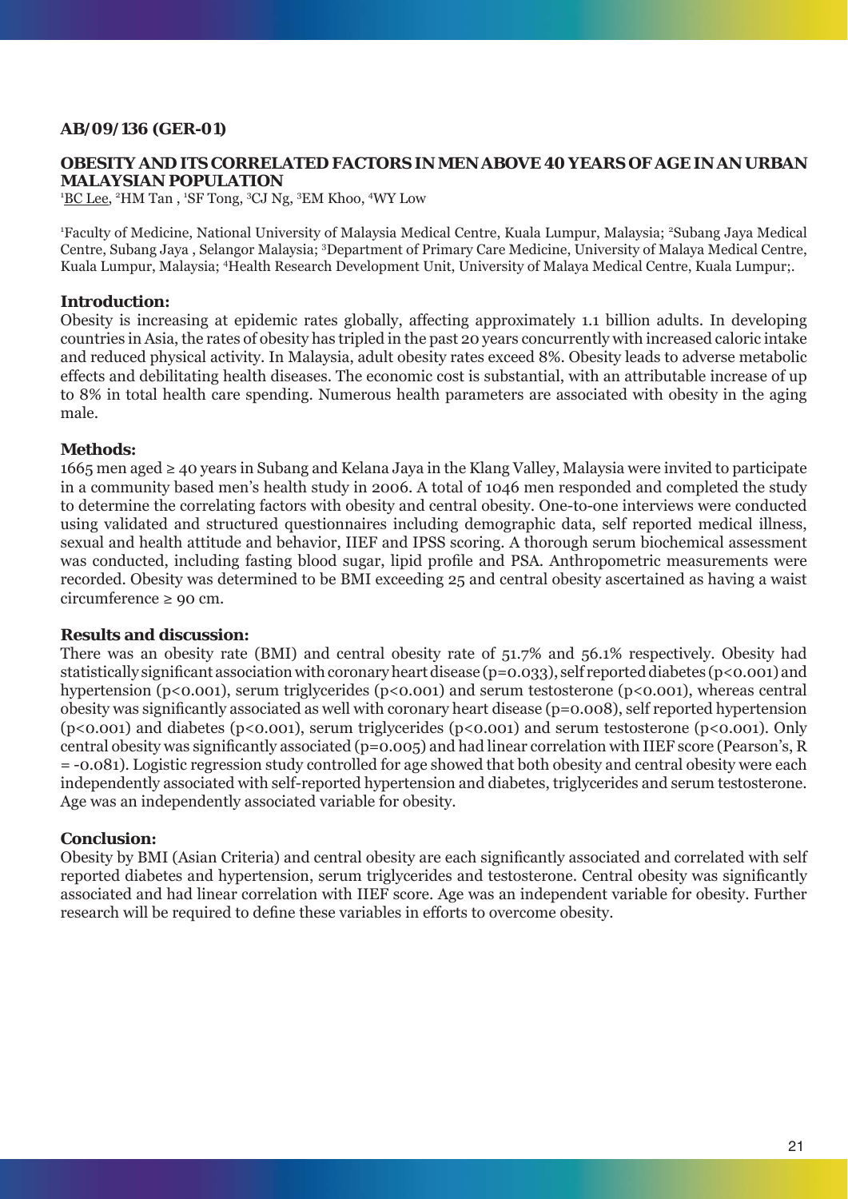# **AB/09/136 (GER-01)**

### **OBESITY AND ITS CORRELATED FACTORS IN MEN ABOVE 40 YEARS OF AGE IN AN URBAN MALAYSIAN POPULATION**

<sup>1</sup>BC Lee, <sup>2</sup>HM Tan, <sup>1</sup>SF Tong, <sup>3</sup>CJ Ng, <sup>3</sup>EM Khoo, <sup>4</sup>WY Low

<sup>1</sup>Faculty of Medicine, National University of Malaysia Medical Centre, Kuala Lumpur, Malaysia; <sup>2</sup>Subang Jaya Medical Centre, Subang Jaya, Selangor Malaysia; <sup>3</sup>Department of Primary Care Medicine, University of Malaya Medical Centre, Kuala Lumpur, Malaysia; <sup>4</sup>Health Research Development Unit, University of Malaya Medical Centre, Kuala Lumpur;.

# **Introduction:**

Obesity is increasing at epidemic rates globally, affecting approximately 1.1 billion adults. In developing countries in Asia, the rates of obesity has tripled in the past 20 years concurrently with increased caloric intake and reduced physical activity. In Malaysia, adult obesity rates exceed 8%. Obesity leads to adverse metabolic effects and debilitating health diseases. The economic cost is substantial, with an attributable increase of up to 8% in total health care spending. Numerous health parameters are associated with obesity in the aging male.

# **Methods:**

1665 men aged ≥ 40 years in Subang and Kelana Jaya in the Klang Valley, Malaysia were invited to participate in a community based men's health study in 2006. A total of 1046 men responded and completed the study to determine the correlating factors with obesity and central obesity. One-to-one interviews were conducted using validated and structured questionnaires including demographic data, self reported medical illness, sexual and health attitude and behavior, IIEF and IPSS scoring. A thorough serum biochemical assessment was conducted, including fasting blood sugar, lipid profile and PSA. Anthropometric measurements were recorded. Obesity was determined to be BMI exceeding 25 and central obesity ascertained as having a waist circumference  $\geq 90$  cm.

### **Results and discussion:**

There was an obesity rate (BMI) and central obesity rate of 51.7% and 56.1% respectively. Obesity had statistically significant association with coronary heart disease (p=0.033), self reported diabetes (p<0.001) and hypertension (p<0.001), serum triglycerides (p<0.001) and serum testosterone (p<0.001), whereas central obesity was significantly associated as well with coronary heart disease ( $p=0.008$ ), self reported hypertension (p<0.001) and diabetes (p<0.001), serum triglycerides (p<0.001) and serum testosterone (p<0.001). Only central obesity was significantly associated ( $p=0.005$ ) and had linear correlation with IIEF score (Pearson's, R = -0.081). Logistic regression study controlled for age showed that both obesity and central obesity were each independently associated with self-reported hypertension and diabetes, triglycerides and serum testosterone. Age was an independently associated variable for obesity.

### **Conclusion:**

Obesity by BMI (Asian Criteria) and central obesity are each significantly associated and correlated with self reported diabetes and hypertension, serum triglycerides and testosterone. Central obesity was significantly associated and had linear correlation with IIEF score. Age was an independent variable for obesity. Further research will be required to define these variables in efforts to overcome obesity.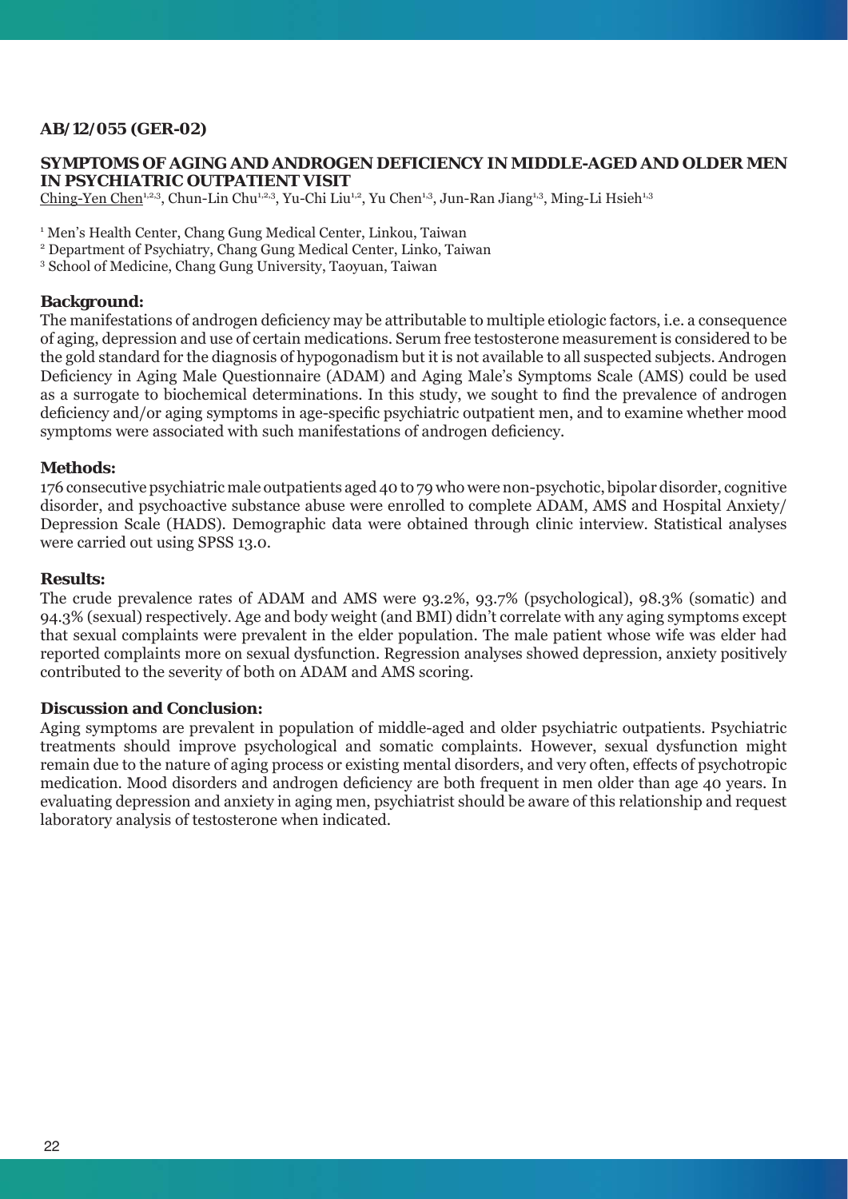# **AB/12/055 (GER-02)**

### **SYMPTOMS OF AGING AND ANDROGEN DEFICIENCY IN MIDDLE-AGED AND OLDER MEN IN PSYCHIATRIC OUTPATIENT VISIT**

Ching-Yen Chen<sup>1,2,3</sup>, Chun-Lin Chu<sup>1,2,3</sup>, Yu-Chi Liu<sup>1,2</sup>, Yu Chen<sup>1,3</sup>, Jun-Ran Jiang<sup>1,3</sup>, Ming-Li Hsieh<sup>1,3</sup>

<sup>1</sup> Men's Health Center, Chang Gung Medical Center, Linkou, Taiwan

2 Department of Psychiatry, Chang Gung Medical Center, Linko, Taiwan

3 School of Medicine, Chang Gung University, Taoyuan, Taiwan

#### **Background:**

The manifestations of androgen deficiency may be attributable to multiple etiologic factors, i.e. a consequence of aging, depression and use of certain medications. Serum free testosterone measurement is considered to be the gold standard for the diagnosis of hypogonadism but it is not available to all suspected subjects. Androgen Deficiency in Aging Male Questionnaire (ADAM) and Aging Male's Symptoms Scale (AMS) could be used as a surrogate to biochemical determinations. In this study, we sought to find the prevalence of androgen deficiency and/or aging symptoms in age-specific psychiatric outpatient men, and to examine whether mood symptoms were associated with such manifestations of androgen deficiency.

#### **Methods:**

176 consecutive psychiatric male outpatients aged 40 to 79 who were non-psychotic, bipolar disorder, cognitive disorder, and psychoactive substance abuse were enrolled to complete ADAM, AMS and Hospital Anxiety/ Depression Scale (HADS). Demographic data were obtained through clinic interview. Statistical analyses were carried out using SPSS 13.0.

#### **Results:**

The crude prevalence rates of ADAM and AMS were 93.2%, 93.7% (psychological), 98.3% (somatic) and 94.3% (sexual) respectively. Age and body weight (and BMI) didn't correlate with any aging symptoms except that sexual complaints were prevalent in the elder population. The male patient whose wife was elder had reported complaints more on sexual dysfunction. Regression analyses showed depression, anxiety positively contributed to the severity of both on ADAM and AMS scoring.

#### **Discussion and Conclusion:**

Aging symptoms are prevalent in population of middle-aged and older psychiatric outpatients. Psychiatric treatments should improve psychological and somatic complaints. However, sexual dysfunction might remain due to the nature of aging process or existing mental disorders, and very often, effects of psychotropic medication. Mood disorders and androgen deficiency are both frequent in men older than age 40 years. In evaluating depression and anxiety in aging men, psychiatrist should be aware of this relationship and request laboratory analysis of testosterone when indicated.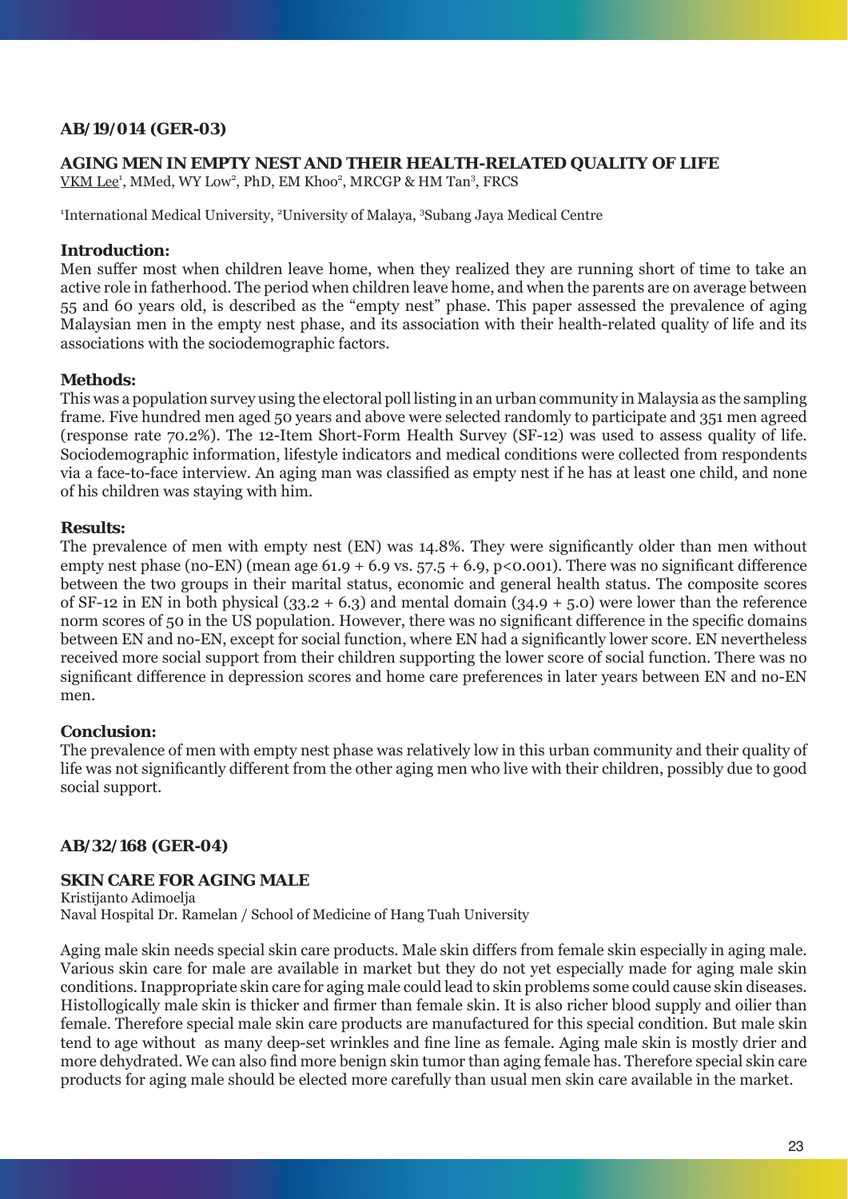# **AB/19/014 (GER-03)**

## **AGING MEN IN EMPTY NEST AND THEIR HEALTH-RELATED QUALITY OF LIFE**

VKM Lee<sup>1</sup>, MMed, WY Low<sup>2</sup>, PhD, EM Khoo<sup>2</sup>, MRCGP & HM Tan<sup>3</sup>, FRCS

<sup>1</sup>International Medical University, <sup>2</sup>University of Malaya, <sup>3</sup>Subang Jaya Medical Centre

# **Introduction:**

Men suffer most when children leave home, when they realized they are running short of time to take an active role in fatherhood. The period when children leave home, and when the parents are on average between 55 and 60 years old, is described as the "empty nest" phase. This paper assessed the prevalence of aging Malaysian men in the empty nest phase, and its association with their health-related quality of life and its associations with the sociodemographic factors.

# **Methods:**

This was a population survey using the electoral poll listing in an urban community in Malaysia as the sampling frame. Five hundred men aged 50 years and above were selected randomly to participate and 351 men agreed (response rate 70.2%). The 12-Item Short-Form Health Survey (SF-12) was used to assess quality of life. Sociodemographic information, lifestyle indicators and medical conditions were collected from respondents via a face-to-face interview. An aging man was classified as empty nest if he has at least one child, and none of his children was staying with him.

# **Results:**

The prevalence of men with empty nest (EN) was 14.8%. They were significantly older than men without empty nest phase (no-EN) (mean age 61.9 + 6.9 vs.  $57.5 + 6.9$ , p<0.001). There was no significant difference between the two groups in their marital status, economic and general health status. The composite scores of SF-12 in EN in both physical (33.2 + 6.3) and mental domain (34.9 + 5.0) were lower than the reference norm scores of 50 in the US population. However, there was no significant difference in the specific domains between EN and no-EN, except for social function, where EN had a significantly lower score. EN nevertheless received more social support from their children supporting the lower score of social function. There was no significant difference in depression scores and home care preferences in later years between EN and no-EN men.

# **Conclusion:**

The prevalence of men with empty nest phase was relatively low in this urban community and their quality of life was not significantly different from the other aging men who live with their children, possibly due to good social support.

# **AB/32/168 (GER-04)**

# **SKIN CARE FOR AGING MALE**

Kristijanto Adimoelja Naval Hospital Dr. Ramelan / School of Medicine of Hang Tuah University

Aging male skin needs special skin care products. Male skin differs from female skin especially in aging male. Various skin care for male are available in market but they do not yet especially made for aging male skin conditions. Inappropriate skin care for aging male could lead to skin problems some could cause skin diseases. Histollogically male skin is thicker and firmer than female skin. It is also richer blood supply and oilier than female. Therefore special male skin care products are manufactured for this special condition. But male skin tend to age without as many deep-set wrinkles and fine line as female. Aging male skin is mostly drier and more dehydrated. We can also find more benign skin tumor than aging female has. Therefore special skin care products for aging male should be elected more carefully than usual men skin care available in the market.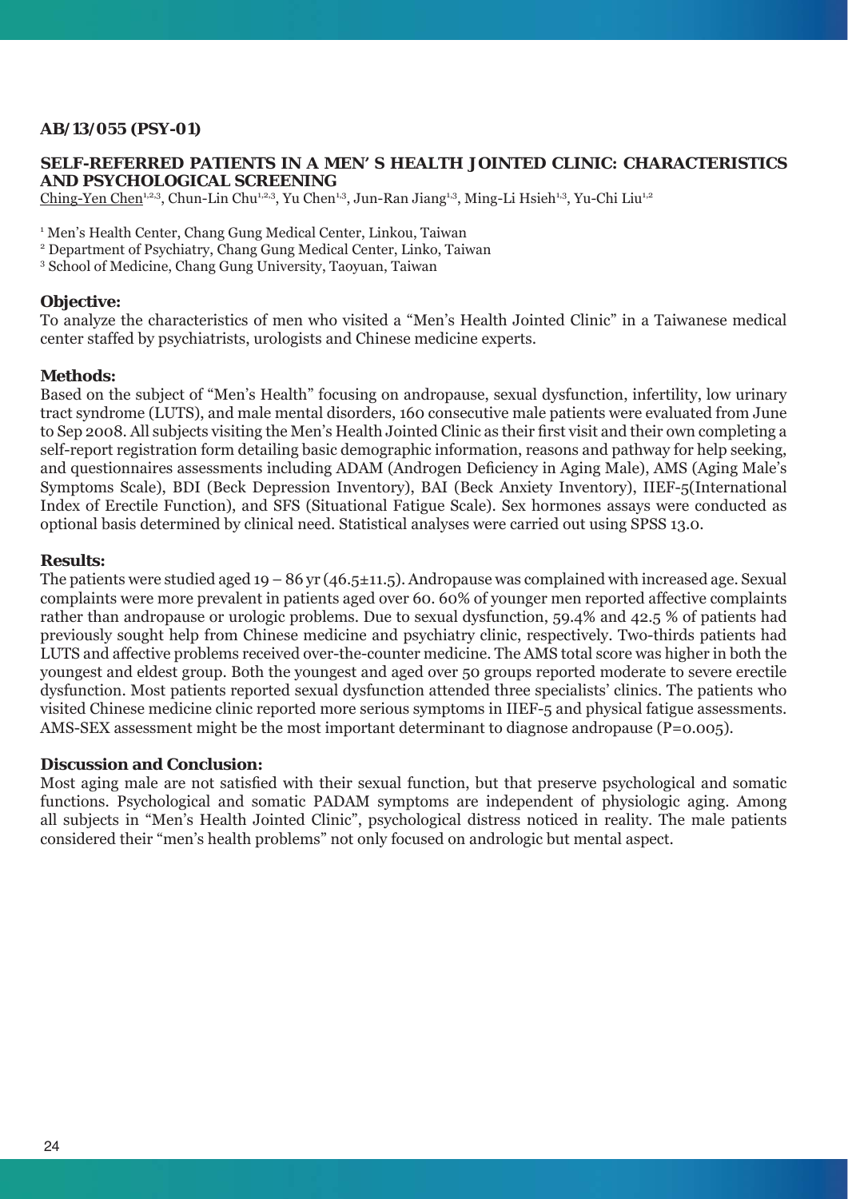# **AB/13/055 (PSY-01)**

### **SELF-REFERRED PATIENTS IN A MEN' S HEALTH JOINTED CLINIC: CHARACTERISTICS AND PSYCHOLOGICAL SCREENING**

Ching-Yen Chen<sup>1,2,3</sup>, Chun-Lin Chu<sup>1,2,3</sup>, Yu Chen<sup>1,3</sup>, Jun-Ran Jiang<sup>1,3</sup>, Ming-Li Hsieh<sup>1,3</sup>, Yu-Chi Liu<sup>1,2</sup>

<sup>1</sup> Men's Health Center, Chang Gung Medical Center, Linkou, Taiwan

2 Department of Psychiatry, Chang Gung Medical Center, Linko, Taiwan

3 School of Medicine, Chang Gung University, Taoyuan, Taiwan

### **Objective:**

To analyze the characteristics of men who visited a "Men's Health Jointed Clinic" in a Taiwanese medical center staffed by psychiatrists, urologists and Chinese medicine experts.

# **Methods:**

Based on the subject of "Men's Health" focusing on andropause, sexual dysfunction, infertility, low urinary tract syndrome (LUTS), and male mental disorders, 160 consecutive male patients were evaluated from June to Sep 2008. All subjects visiting the Men's Health Jointed Clinic as their first visit and their own completing a self-report registration form detailing basic demographic information, reasons and pathway for help seeking, and questionnaires assessments including ADAM (Androgen Deficiency in Aging Male), AMS (Aging Male's Symptoms Scale), BDI (Beck Depression Inventory), BAI (Beck Anxiety Inventory), IIEF-5(International Index of Erectile Function), and SFS (Situational Fatigue Scale). Sex hormones assays were conducted as optional basis determined by clinical need. Statistical analyses were carried out using SPSS 13.0.

# **Results:**

The patients were studied aged  $19 - 86$  yr (46.5 $\pm$ 11.5). Andropause was complained with increased age. Sexual complaints were more prevalent in patients aged over 60. 60% of younger men reported affective complaints rather than andropause or urologic problems. Due to sexual dysfunction, 59.4% and 42.5 % of patients had previously sought help from Chinese medicine and psychiatry clinic, respectively. Two-thirds patients had LUTS and affective problems received over-the-counter medicine. The AMS total score was higher in both the youngest and eldest group. Both the youngest and aged over 50 groups reported moderate to severe erectile dysfunction. Most patients reported sexual dysfunction attended three specialists' clinics. The patients who visited Chinese medicine clinic reported more serious symptoms in IIEF-5 and physical fatigue assessments. AMS-SEX assessment might be the most important determinant to diagnose andropause (P=0.005).

### **Discussion and Conclusion:**

Most aging male are not satisfied with their sexual function, but that preserve psychological and somatic functions. Psychological and somatic PADAM symptoms are independent of physiologic aging. Among all subjects in "Men's Health Jointed Clinic", psychological distress noticed in reality. The male patients considered their "men's health problems" not only focused on andrologic but mental aspect.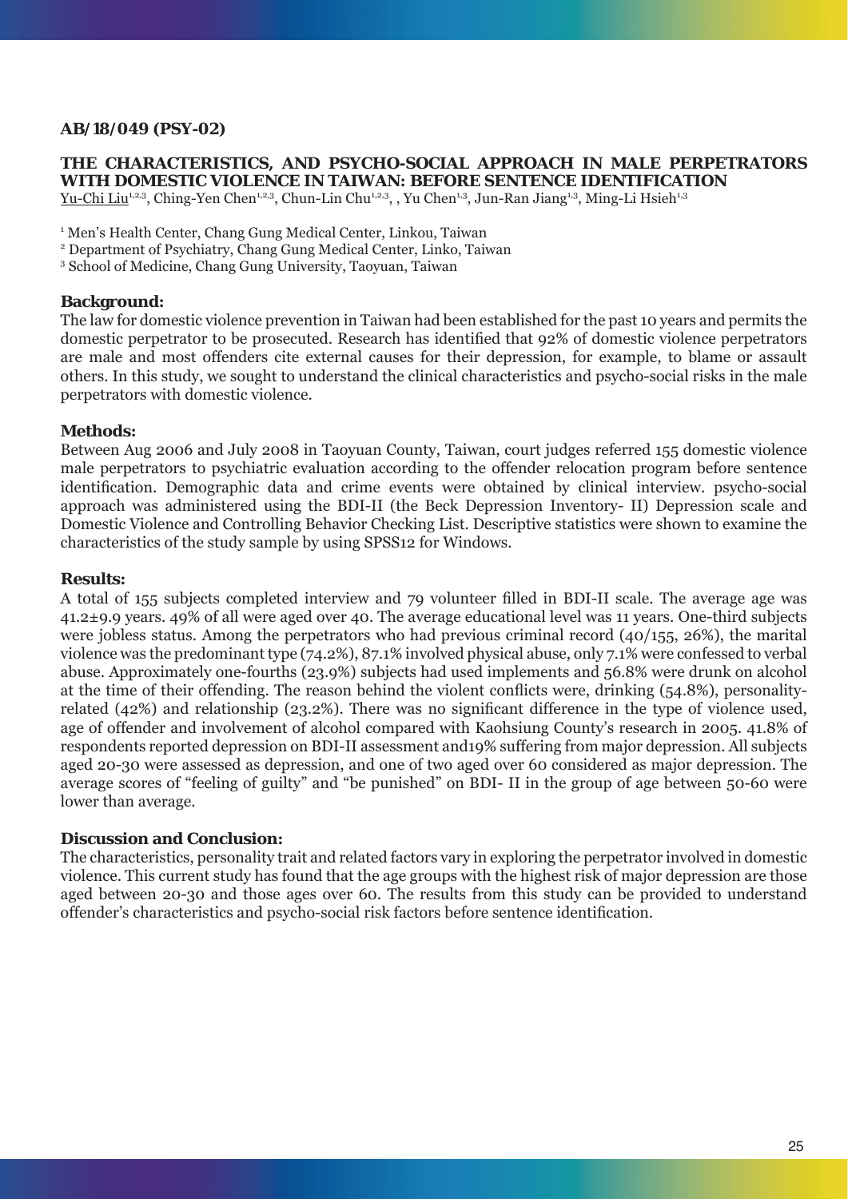# **AB/18/049 (PSY-02)**

### **THE CHARACTERISTICS, AND PSYCHO-SOCIAL APPROACH IN MALE PERPETRATORS WITH DOMESTIC VIOLENCE IN TAIWAN: BEFORE SENTENCE IDENTIFICATION**

Yu-Chi Liu<sup>1,2,3</sup>, Ching-Yen Chen<sup>1,2,3</sup>, Chun-Lin Chu<sup>1,2,3</sup>, , Yu Chen<sup>1,3</sup>, Jun-Ran Jiang<sup>1,3</sup>, Ming-Li Hsieh<sup>1,3</sup>

<sup>1</sup> Men's Health Center, Chang Gung Medical Center, Linkou, Taiwan

2 Department of Psychiatry, Chang Gung Medical Center, Linko, Taiwan

3 School of Medicine, Chang Gung University, Taoyuan, Taiwan

### **Background:**

The law for domestic violence prevention in Taiwan had been established for the past 10 years and permits the domestic perpetrator to be prosecuted. Research has identified that 92% of domestic violence perpetrators are male and most offenders cite external causes for their depression, for example, to blame or assault others. In this study, we sought to understand the clinical characteristics and psycho-social risks in the male perpetrators with domestic violence.

### **Methods:**

Between Aug 2006 and July 2008 in Taoyuan County, Taiwan, court judges referred 155 domestic violence male perpetrators to psychiatric evaluation according to the offender relocation program before sentence identification. Demographic data and crime events were obtained by clinical interview. psycho-social approach was administered using the BDI-II (the Beck Depression Inventory- II) Depression scale and Domestic Violence and Controlling Behavior Checking List. Descriptive statistics were shown to examine the characteristics of the study sample by using SPSS12 for Windows.

#### **Results:**

A total of 155 subjects completed interview and 79 volunteer filled in BDI-II scale. The average age was 41.2±9.9 years. 49% of all were aged over 40. The average educational level was 11 years. One-third subjects were jobless status. Among the perpetrators who had previous criminal record (40/155, 26%), the marital violence was the predominant type (74.2%), 87.1% involved physical abuse, only 7.1% were confessed to verbal abuse. Approximately one-fourths (23.9%) subjects had used implements and 56.8% were drunk on alcohol at the time of their offending. The reason behind the violent conflicts were, drinking  $(54.8\%)$ , personalityrelated (42%) and relationship (23.2%). There was no significant difference in the type of violence used, age of offender and involvement of alcohol compared with Kaohsiung County's research in 2005. 41.8% of respondents reported depression on BDI-II assessment and19% suffering from major depression. All subjects aged 20-30 were assessed as depression, and one of two aged over 60 considered as major depression. The average scores of "feeling of guilty" and "be punished" on BDI- II in the group of age between 50-60 were lower than average.

# **Discussion and Conclusion:**

The characteristics, personality trait and related factors vary in exploring the perpetrator involved in domestic violence. This current study has found that the age groups with the highest risk of major depression are those aged between 20-30 and those ages over 60. The results from this study can be provided to understand offender's characteristics and psycho-social risk factors before sentence identification.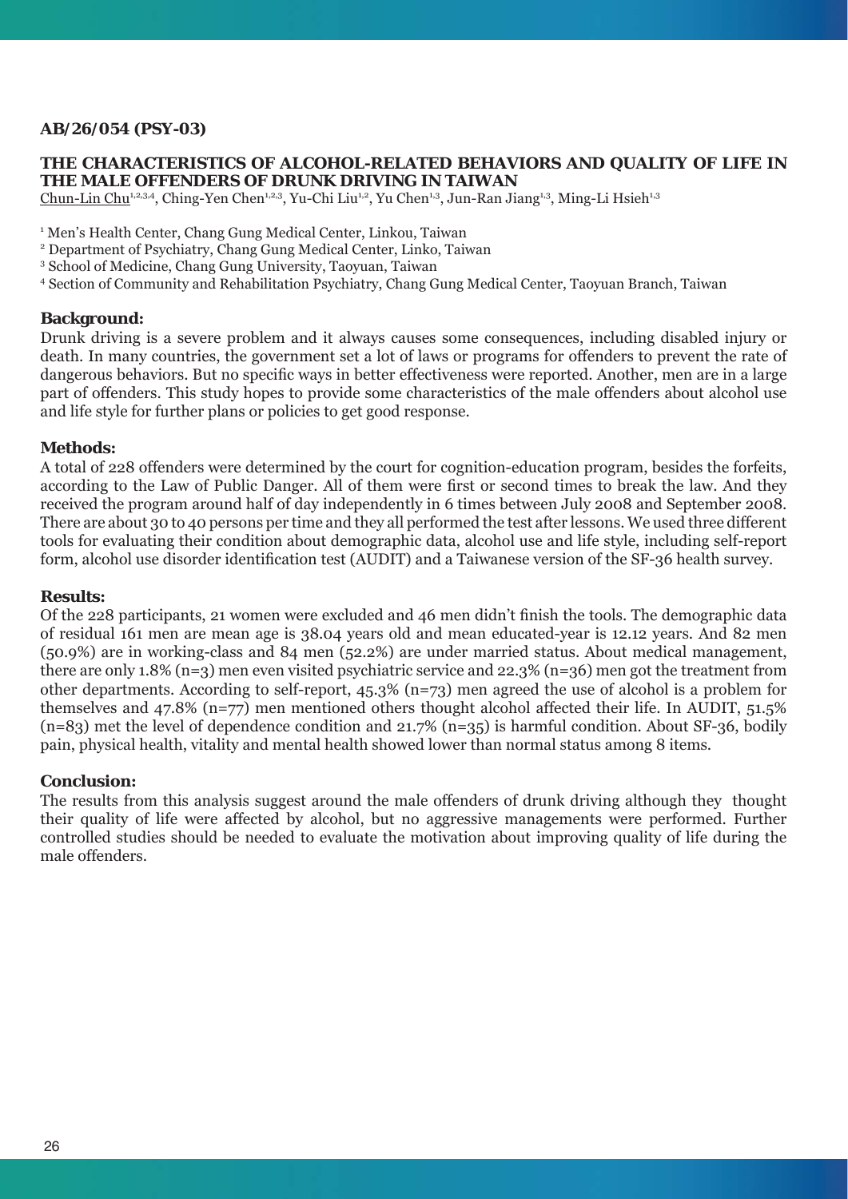# **AB/26/054 (PSY-03)**

## **THE CHARACTERISTICS OF ALCOHOL-RELATED BEHAVIORS AND QUALITY OF LIFE IN THE MALE OFFENDERS OF DRUNK DRIVING IN TAIWAN**

Chun-Lin Chu<sup>1,2,3,4</sup>, Ching-Yen Chen<sup>1,2,3</sup>, Yu-Chi Liu<sup>1,2</sup>, Yu Chen<sup>1,3</sup>, Jun-Ran Jiang<sup>1,3</sup>, Ming-Li Hsieh<sup>1,3</sup>

<sup>1</sup> Men's Health Center, Chang Gung Medical Center, Linkou, Taiwan

2 Department of Psychiatry, Chang Gung Medical Center, Linko, Taiwan

3 School of Medicine, Chang Gung University, Taoyuan, Taiwan

4 Section of Community and Rehabilitation Psychiatry, Chang Gung Medical Center, Taoyuan Branch, Taiwan

# **Background:**

Drunk driving is a severe problem and it always causes some consequences, including disabled injury or death. In many countries, the government set a lot of laws or programs for offenders to prevent the rate of dangerous behaviors. But no specific ways in better effectiveness were reported. Another, men are in a large part of offenders. This study hopes to provide some characteristics of the male offenders about alcohol use and life style for further plans or policies to get good response.

# **Methods:**

A total of 228 offenders were determined by the court for cognition-education program, besides the forfeits, according to the Law of Public Danger. All of them were first or second times to break the law. And they received the program around half of day independently in 6 times between July 2008 and September 2008. There are about 30 to 40 persons per time and they all performed the test after lessons. We used three different tools for evaluating their condition about demographic data, alcohol use and life style, including self-report form, alcohol use disorder identification test (AUDIT) and a Taiwanese version of the SF-36 health survey.

## **Results:**

Of the 228 participants, 21 women were excluded and 46 men didn't finish the tools. The demographic data of residual 161 men are mean age is 38.04 years old and mean educated-year is 12.12 years. And 82 men (50.9%) are in working-class and 84 men (52.2%) are under married status. About medical management, there are only 1.8% (n=3) men even visited psychiatric service and 22.3% (n=36) men got the treatment from other departments. According to self-report, 45.3% (n=73) men agreed the use of alcohol is a problem for themselves and 47.8% (n=77) men mentioned others thought alcohol affected their life. In AUDIT, 51.5%  $(n=83)$  met the level of dependence condition and 21.7%  $(n=35)$  is harmful condition. About SF-36, bodily pain, physical health, vitality and mental health showed lower than normal status among 8 items.

### **Conclusion:**

The results from this analysis suggest around the male offenders of drunk driving although they thought their quality of life were affected by alcohol, but no aggressive managements were performed. Further controlled studies should be needed to evaluate the motivation about improving quality of life during the male offenders.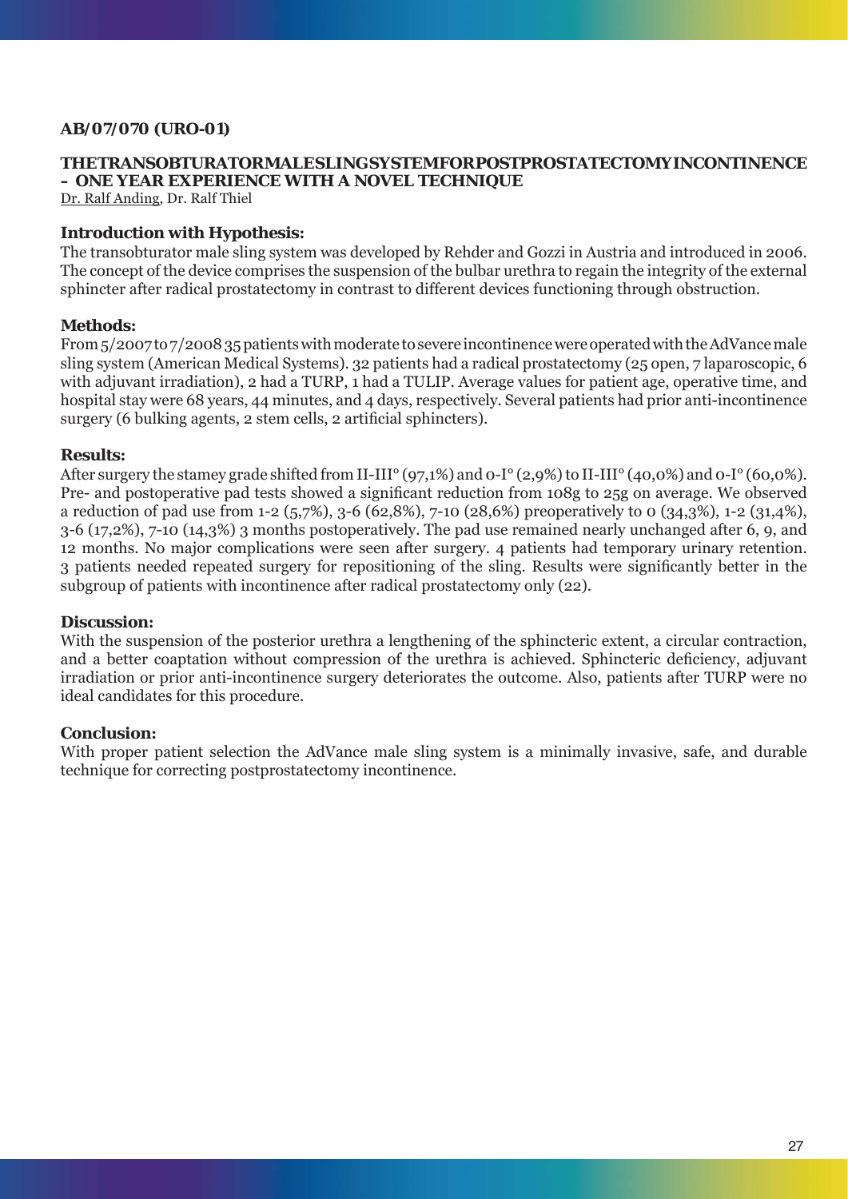# **AB/07/070 (URO-01)**

# **THE TRANSOBTURATOR MALE SLING SYSTEM FOR POSTPROSTATECTOMY INCONTINENCE – ONE YEAR EXPERIENCE WITH A NOVEL TECHNIQUE**

Dr. Ralf Anding, Dr. Ralf Thiel

# **Introduction with Hypothesis:**

The transobturator male sling system was developed by Rehder and Gozzi in Austria and introduced in 2006. The concept of the device comprises the suspension of the bulbar urethra to regain the integrity of the external sphincter after radical prostatectomy in contrast to different devices functioning through obstruction.

# **Methods:**

From 5/2007 to 7/2008 35 patients with moderate to severe incontinence were operated with the AdVance male sling system (American Medical Systems). 32 patients had a radical prostatectomy (25 open, 7 laparoscopic, 6 with adjuvant irradiation), 2 had a TURP, 1 had a TULIP. Average values for patient age, operative time, and hospital stay were 68 years, 44 minutes, and 4 days, respectively. Several patients had prior anti-incontinence  $surgery (6 \text{ bulk}ing agents, 2 \text{ stem cells}, 2 \text{ artificial sphincters}).$ 

# **Results:**

After surgery the stamey grade shifted from II-III° (97,1%) and 0-I° (2,9%) to II-III° (40,0%) and 0-I° (60,0%). Pre- and postoperative pad tests showed a significant reduction from 108g to 25g on average. We observed a reduction of pad use from 1-2 (5,7%), 3-6 (62,8%), 7-10 (28,6%) preoperatively to 0 (34,3%), 1-2 (31,4%), 3-6 (17,2%), 7-10 (14,3%) 3 months postoperatively. The pad use remained nearly unchanged after 6, 9, and 12 months. No major complications were seen after surgery. 4 patients had temporary urinary retention. 3 patients needed repeated surgery for repositioning of the sling. Results were significantly better in the subgroup of patients with incontinence after radical prostatectomy only (22).

### **Discussion:**

With the suspension of the posterior urethra a lengthening of the sphincteric extent, a circular contraction, and a better coaptation without compression of the urethra is achieved. Sphincteric deficiency, adjuvant irradiation or prior anti-incontinence surgery deteriorates the outcome. Also, patients after TURP were no ideal candidates for this procedure.

# **Conclusion:**

With proper patient selection the AdVance male sling system is a minimally invasive, safe, and durable technique for correcting postprostatectomy incontinence.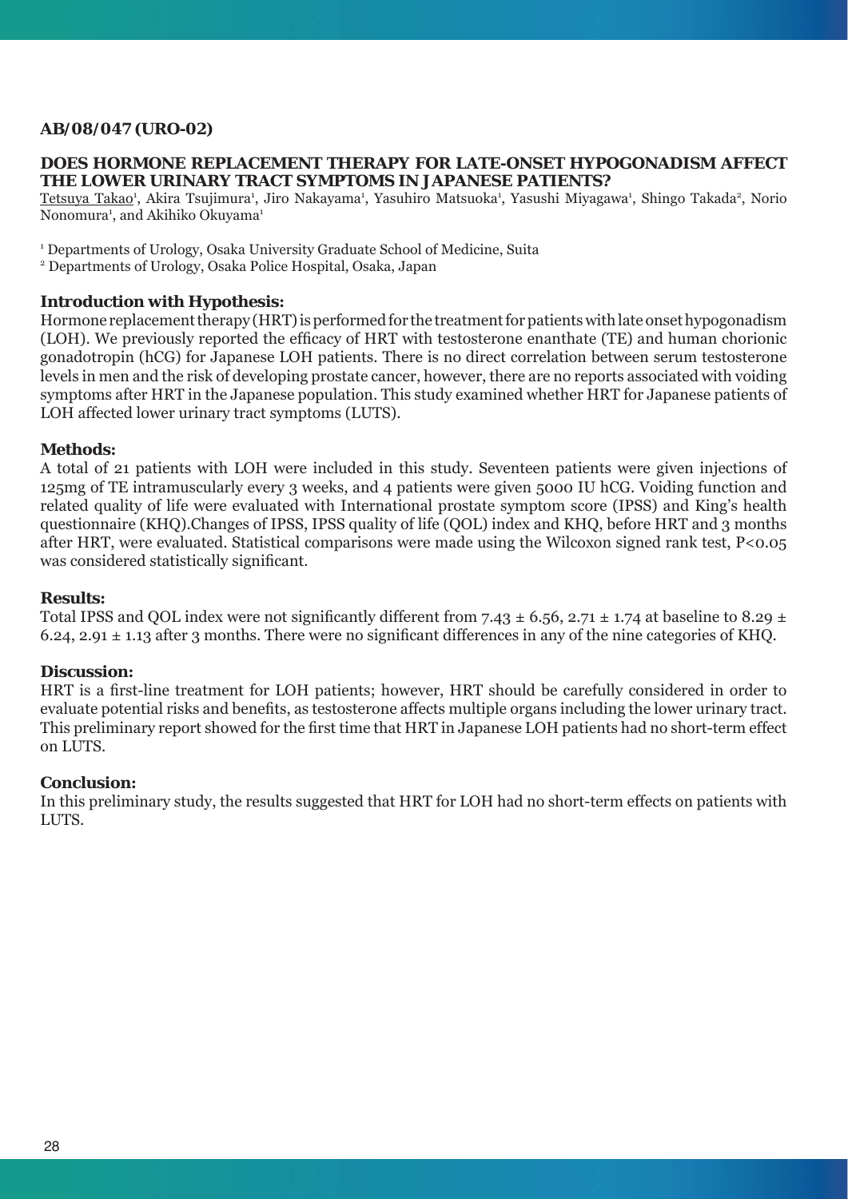# **AB/08/047 (URO-02)**

### **DOES HORMONE REPLACEMENT THERAPY FOR LATE-ONSET HYPOGONADISM AFFECT THE LOWER URINARY TRACT SYMPTOMS IN JAPANESE PATIENTS?**

Tetsuya Takao<sup>1</sup>, Akira Tsujimura<sup>1</sup>, Jiro Nakayama<sup>1</sup>, Yasuhiro Matsuoka<sup>1</sup>, Yasushi Miyagawa<sup>1</sup>, Shingo Takada<sup>2</sup>, Norio Nonomura<sup>1</sup>, and Akihiko Okuyama<sup>1</sup>

<sup>1</sup> Departments of Urology, Osaka University Graduate School of Medicine, Suita

2 Departments of Urology, Osaka Police Hospital, Osaka, Japan

# **Introduction with Hypothesis:**

Hormone replacement therapy (HRT) is performed for the treatment for patients with late onset hypogonadism (LOH). We previously reported the efficacy of HRT with testosterone enanthate (TE) and human chorionic gonadotropin (hCG) for Japanese LOH patients. There is no direct correlation between serum testosterone levels in men and the risk of developing prostate cancer, however, there are no reports associated with voiding symptoms after HRT in the Japanese population. This study examined whether HRT for Japanese patients of LOH affected lower urinary tract symptoms (LUTS).

# **Methods:**

A total of 21 patients with LOH were included in this study. Seventeen patients were given injections of 125mg of TE intramuscularly every 3 weeks, and 4 patients were given 5000 IU hCG. Voiding function and related quality of life were evaluated with International prostate symptom score (IPSS) and King's health questionnaire (KHQ).Changes of IPSS, IPSS quality of life (QOL) index and KHQ, before HRT and 3 months after HRT, were evaluated. Statistical comparisons were made using the Wilcoxon signed rank test, P<0.05 was considered statistically significant.

### **Results:**

Total IPSS and QOL index were not significantly different from 7.43  $\pm$  6.56, 2.71  $\pm$  1.74 at baseline to 8.29  $\pm$ 6.24, 2.91  $\pm$  1.13 after 3 months. There were no significant differences in any of the nine categories of KHQ.

### **Discussion:**

HRT is a first-line treatment for LOH patients; however, HRT should be carefully considered in order to evaluate potential risks and benefits, as testosterone affects multiple organs including the lower urinary tract. This preliminary report showed for the first time that HRT in Japanese LOH patients had no short-term effect on LUTS.

### **Conclusion:**

In this preliminary study, the results suggested that HRT for LOH had no short-term effects on patients with LUTS.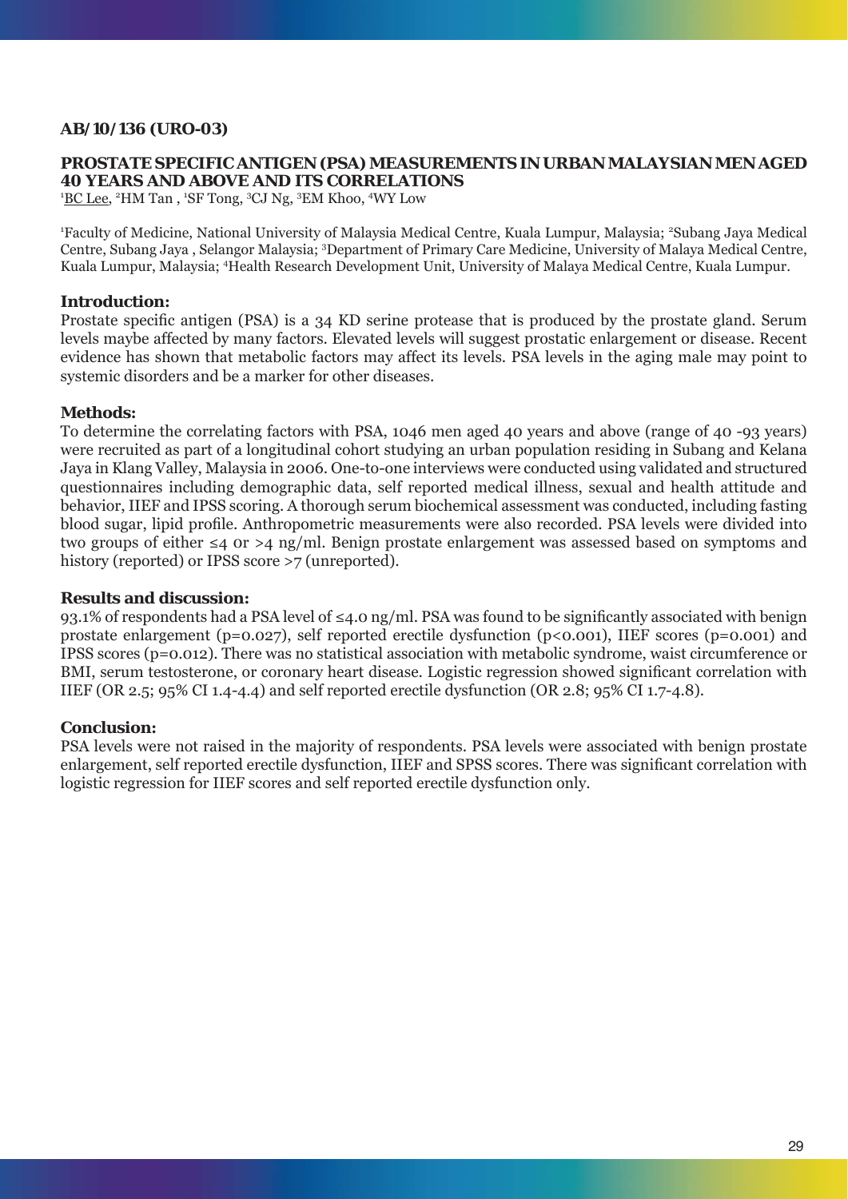# **AB/10/136 (URO-03)**

# **PROSTATE SPECIFIC ANTIGEN (PSA) MEASUREMENTS IN URBAN MALAYSIAN MEN AGED 40 YEARS AND ABOVE AND ITS CORRELATIONS**

<sup>1</sup>BC Lee, <sup>2</sup>HM Tan, <sup>1</sup>SF Tong, <sup>3</sup>CJ Ng, <sup>3</sup>EM Khoo, <sup>4</sup>WY Low

<sup>1</sup>Faculty of Medicine, National University of Malaysia Medical Centre, Kuala Lumpur, Malaysia; <sup>2</sup>Subang Jaya Medical Centre, Subang Jaya, Selangor Malaysia; <sup>3</sup>Department of Primary Care Medicine, University of Malaya Medical Centre, Kuala Lumpur, Malaysia; 4 Health Research Development Unit, University of Malaya Medical Centre, Kuala Lumpur.

# **Introduction:**

Prostate specific antigen (PSA) is a 34 KD serine protease that is produced by the prostate gland. Serum levels maybe affected by many factors. Elevated levels will suggest prostatic enlargement or disease. Recent evidence has shown that metabolic factors may affect its levels. PSA levels in the aging male may point to systemic disorders and be a marker for other diseases.

# **Methods:**

To determine the correlating factors with PSA, 1046 men aged 40 years and above (range of 40 -93 years) were recruited as part of a longitudinal cohort studying an urban population residing in Subang and Kelana Jaya in Klang Valley, Malaysia in 2006. One-to-one interviews were conducted using validated and structured questionnaires including demographic data, self reported medical illness, sexual and health attitude and behavior, IIEF and IPSS scoring. A thorough serum biochemical assessment was conducted, including fasting blood sugar, lipid profile. Anthropometric measurements were also recorded. PSA levels were divided into two groups of either ≤4 0r >4 ng/ml. Benign prostate enlargement was assessed based on symptoms and history (reported) or IPSS score >7 (unreported).

## **Results and discussion:**

93.1% of respondents had a PSA level of  $\leq 4.0$  ng/ml. PSA was found to be significantly associated with benign prostate enlargement (p=0.027), self reported erectile dysfunction (p<0.001), IIEF scores (p=0.001) and IPSS scores (p=0.012). There was no statistical association with metabolic syndrome, waist circumference or BMI, serum testosterone, or coronary heart disease. Logistic regression showed significant correlation with IIEF (OR 2.5; 95% CI 1.4-4.4) and self reported erectile dysfunction (OR 2.8; 95% CI 1.7-4.8).

### **Conclusion:**

PSA levels were not raised in the majority of respondents. PSA levels were associated with benign prostate enlargement, self reported erectile dysfunction, IIEF and SPSS scores. There was significant correlation with logistic regression for IIEF scores and self reported erectile dysfunction only.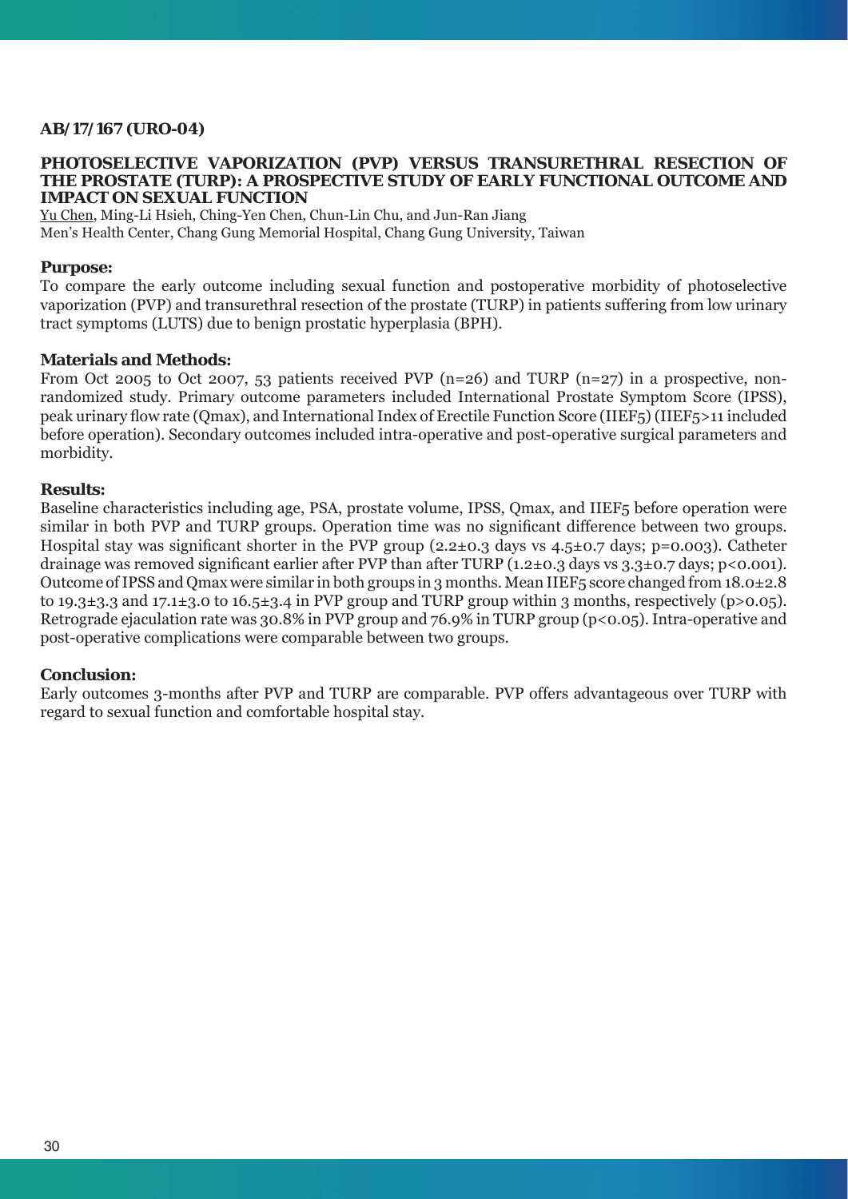# **AB/17/167 (URO-04)**

#### **PHOTOSELECTIVE VAPORIZATION (PVP) VERSUS TRANSURETHRAL RESECTION OF THE PROSTATE (TURP): A PROSPECTIVE STUDY OF EARLY FUNCTIONAL OUTCOME AND IMPACT ON SEXUAL FUNCTION**

Yu Chen, Ming-Li Hsieh, Ching-Yen Chen, Chun-Lin Chu, and Jun-Ran Jiang Men's Health Center, Chang Gung Memorial Hospital, Chang Gung University, Taiwan

### **Purpose:**

To compare the early outcome including sexual function and postoperative morbidity of photoselective vaporization (PVP) and transurethral resection of the prostate (TURP) in patients suffering from low urinary tract symptoms (LUTS) due to benign prostatic hyperplasia (BPH).

#### **Materials and Methods:**

From Oct 2005 to Oct 2007, 53 patients received PVP (n=26) and TURP (n=27) in a prospective, nonrandomized study. Primary outcome parameters included International Prostate Symptom Score (IPSS), peak urinary fl ow rate (Qmax), and International Index of Erectile Function Score (IIEF5) (IIEF5>11 included before operation). Secondary outcomes included intra-operative and post-operative surgical parameters and morbidity.

#### **Results:**

Baseline characteristics including age, PSA, prostate volume, IPSS, Qmax, and IIEF5 before operation were similar in both PVP and TURP groups. Operation time was no significant difference between two groups. Hospital stay was significant shorter in the PVP group  $(2.2\pm0.3$  days vs  $4.5\pm0.7$  days; p=0.003). Catheter drainage was removed significant earlier after PVP than after TURP (1.2 $\pm$ 0.3 days vs 3.3 $\pm$ 0.7 days; p<0.001). Outcome of IPSS and Qmax were similar in both groups in 3 months. Mean IIEF5 score changed from 18.0±2.8 to 19.3±3.3 and 17.1±3.0 to 16.5±3.4 in PVP group and TURP group within 3 months, respectively (p>0.05). Retrograde ejaculation rate was 30.8% in PVP group and 76.9% in TURP group (p<0.05). Intra-operative and post-operative complications were comparable between two groups.

### **Conclusion:**

Early outcomes 3-months after PVP and TURP are comparable. PVP offers advantageous over TURP with regard to sexual function and comfortable hospital stay.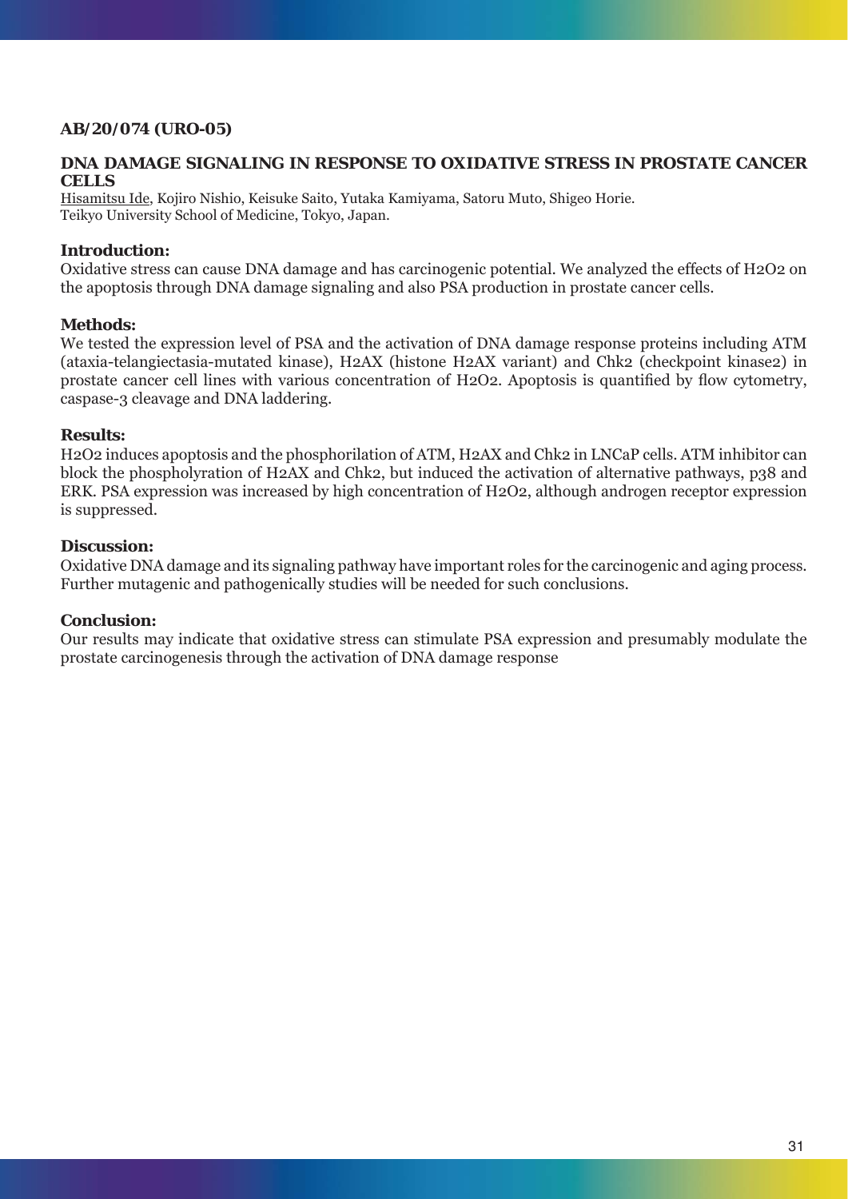# **AB/20/074 (URO-05)**

# **DNA DAMAGE SIGNALING IN RESPONSE TO OXIDATIVE STRESS IN PROSTATE CANCER CELLS**

Hisamitsu Ide, Kojiro Nishio, Keisuke Saito, Yutaka Kamiyama, Satoru Muto, Shigeo Horie. Teikyo University School of Medicine, Tokyo, Japan.

# **Introduction:**

Oxidative stress can cause DNA damage and has carcinogenic potential. We analyzed the effects of H2O2 on the apoptosis through DNA damage signaling and also PSA production in prostate cancer cells.

### **Methods:**

We tested the expression level of PSA and the activation of DNA damage response proteins including ATM (ataxia-telangiectasia-mutated kinase), H2AX (histone H2AX variant) and Chk2 (checkpoint kinase2) in prostate cancer cell lines with various concentration of H2O2. Apoptosis is quantified by flow cytometry, caspase-3 cleavage and DNA laddering.

### **Results:**

H2O2 induces apoptosis and the phosphorilation of ATM, H2AX and Chk2 in LNCaP cells. ATM inhibitor can block the phospholyration of H2AX and Chk2, but induced the activation of alternative pathways, p38 and ERK. PSA expression was increased by high concentration of H2O2, although androgen receptor expression is suppressed.

### **Discussion:**

Oxidative DNA damage and its signaling pathway have important roles for the carcinogenic and aging process. Further mutagenic and pathogenically studies will be needed for such conclusions.

### **Conclusion:**

Our results may indicate that oxidative stress can stimulate PSA expression and presumably modulate the prostate carcinogenesis through the activation of DNA damage response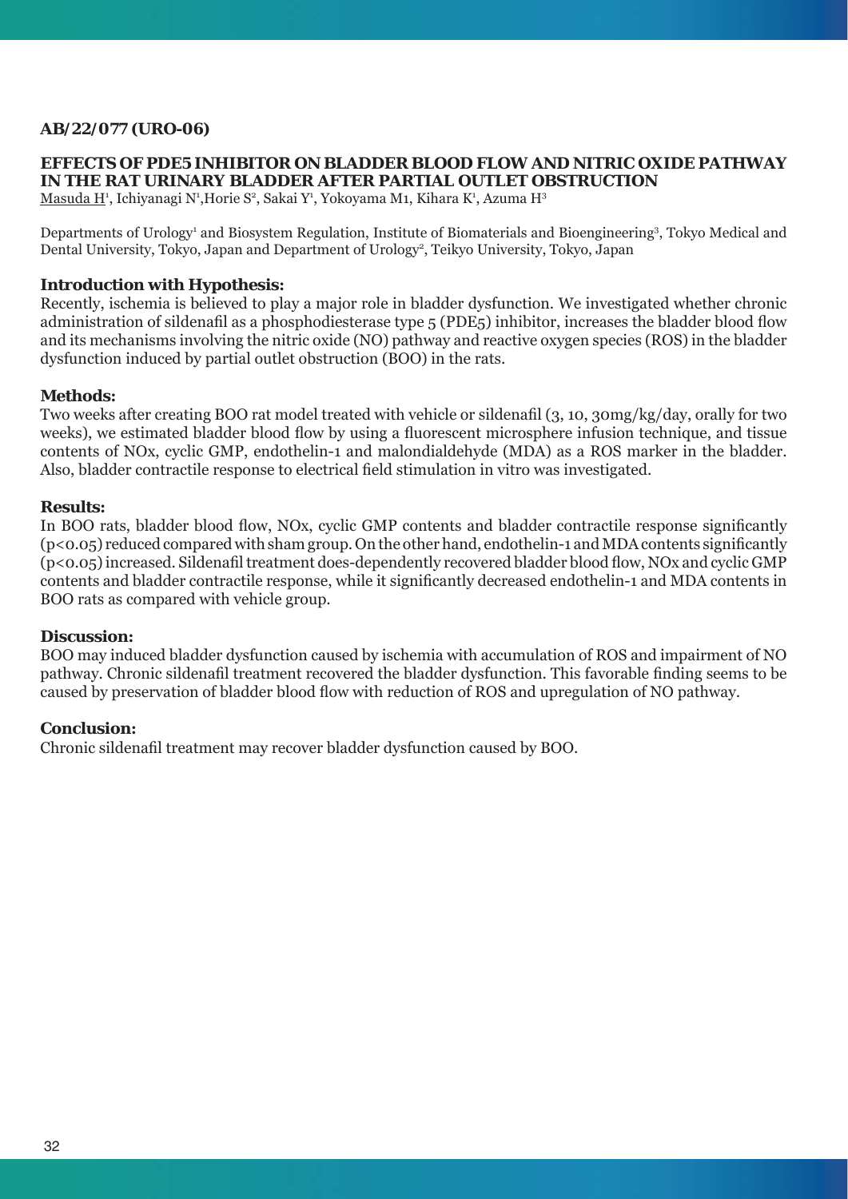# **AB/22/077 (URO-06)**

# **EFFECTS OF PDE5 INHIBITOR ON BLADDER BLOOD FLOW AND NITRIC OXIDE PATHWAY IN THE RAT URINARY BLADDER AFTER PARTIAL OUTLET OBSTRUCTION**

<u>Masuda H</u>ª, Ichiyanagi Nª,Horie Sª, Sakai Yª, Yokoyama M1, Kihara Kª, Azuma H<sup>3</sup>

Departments of Urology<sup>1</sup> and Biosystem Regulation, Institute of Biomaterials and Bioengineering<sup>3</sup>, Tokyo Medical and Dental University, Tokyo, Japan and Department of Urology<sup>2</sup>, Teikyo University, Tokyo, Japan

# **Introduction with Hypothesis:**

Recently, ischemia is believed to play a major role in bladder dysfunction. We investigated whether chronic administration of sildenafil as a phosphodiesterase type 5 (PDE5) inhibitor, increases the bladder blood flow and its mechanisms involving the nitric oxide (NO) pathway and reactive oxygen species (ROS) in the bladder dysfunction induced by partial outlet obstruction (BOO) in the rats.

### **Methods:**

Two weeks after creating BOO rat model treated with vehicle or sildenafil (3, 10, 30mg/kg/day, orally for two weeks), we estimated bladder blood flow by using a fluorescent microsphere infusion technique, and tissue contents of NOx, cyclic GMP, endothelin-1 and malondialdehyde (MDA) as a ROS marker in the bladder. Also, bladder contractile response to electrical field stimulation in vitro was investigated.

#### **Results:**

In BOO rats, bladder blood flow, NOx, cyclic GMP contents and bladder contractile response significantly  $(p<0.05)$  reduced compared with sham group. On the other hand, endothelin-1 and MDA contents significantly  $(p<0.05)$  increased. Sildenafil treatment does-dependently recovered bladder blood flow, NOx and cyclic GMP contents and bladder contractile response, while it significantly decreased endothelin-1 and MDA contents in BOO rats as compared with vehicle group.

### **Discussion:**

BOO may induced bladder dysfunction caused by ischemia with accumulation of ROS and impairment of NO pathway. Chronic sildenafil treatment recovered the bladder dysfunction. This favorable finding seems to be caused by preservation of bladder blood flow with reduction of ROS and upregulation of NO pathway.

### **Conclusion:**

Chronic sildenafi l treatment may recover bladder dysfunction caused by BOO.